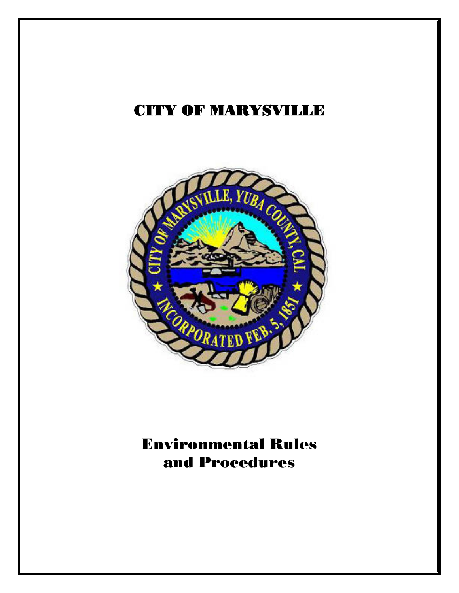# CITY OF MARYSVILLE



# Environmental Rules and Procedures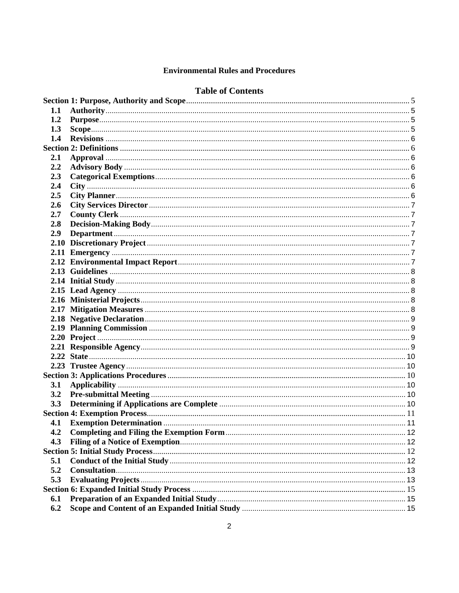#### **Environmental Rules and Procedures**

#### **Table of Contents**

| 1.1        |  |
|------------|--|
| 1.2        |  |
| 1.3        |  |
| 1.4        |  |
|            |  |
| <b>2.1</b> |  |
| 2.2        |  |
| 2.3        |  |
| 2.4        |  |
| 2.5        |  |
| 2.6        |  |
| 2.7        |  |
| 2.8        |  |
| 2.9        |  |
|            |  |
|            |  |
|            |  |
|            |  |
|            |  |
|            |  |
|            |  |
|            |  |
|            |  |
|            |  |
|            |  |
|            |  |
|            |  |
|            |  |
|            |  |
| 3.1        |  |
|            |  |
|            |  |
|            |  |
|            |  |
|            |  |
| 4.3        |  |
|            |  |
| 5.1        |  |
| 5.2        |  |
| 5.3        |  |
|            |  |
| 6.1        |  |
| 6.2        |  |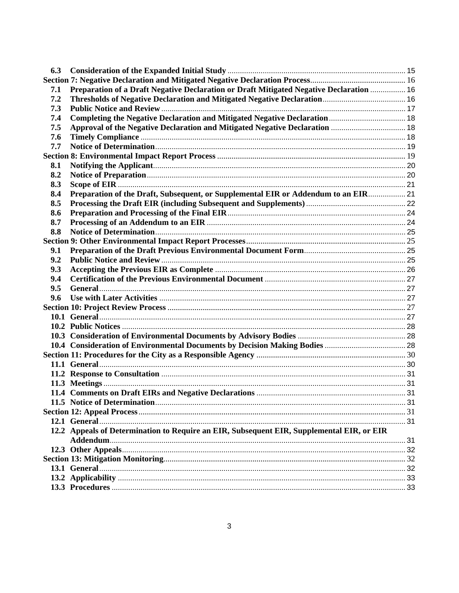| 6.3 |                                                                                           |  |
|-----|-------------------------------------------------------------------------------------------|--|
|     |                                                                                           |  |
| 7.1 | Preparation of a Draft Negative Declaration or Draft Mitigated Negative Declaration  16   |  |
| 7.2 |                                                                                           |  |
| 7.3 |                                                                                           |  |
| 7.4 |                                                                                           |  |
| 7.5 |                                                                                           |  |
| 7.6 |                                                                                           |  |
| 7.7 |                                                                                           |  |
|     |                                                                                           |  |
| 8.1 |                                                                                           |  |
| 8.2 |                                                                                           |  |
| 8.3 |                                                                                           |  |
| 8.4 | Preparation of the Draft, Subsequent, or Supplemental EIR or Addendum to an EIR 21        |  |
| 8.5 |                                                                                           |  |
| 8.6 |                                                                                           |  |
| 8.7 |                                                                                           |  |
| 8.8 |                                                                                           |  |
|     |                                                                                           |  |
| 9.1 |                                                                                           |  |
| 9.2 |                                                                                           |  |
| 9.3 |                                                                                           |  |
| 9.4 |                                                                                           |  |
| 9.5 |                                                                                           |  |
| 9.6 |                                                                                           |  |
|     |                                                                                           |  |
|     |                                                                                           |  |
|     |                                                                                           |  |
|     |                                                                                           |  |
|     |                                                                                           |  |
|     |                                                                                           |  |
|     |                                                                                           |  |
|     |                                                                                           |  |
|     |                                                                                           |  |
|     |                                                                                           |  |
|     |                                                                                           |  |
|     |                                                                                           |  |
|     |                                                                                           |  |
|     | 12.2 Appeals of Determination to Require an EIR, Subsequent EIR, Supplemental EIR, or EIR |  |
|     |                                                                                           |  |
|     |                                                                                           |  |
|     |                                                                                           |  |
|     |                                                                                           |  |
|     |                                                                                           |  |
|     |                                                                                           |  |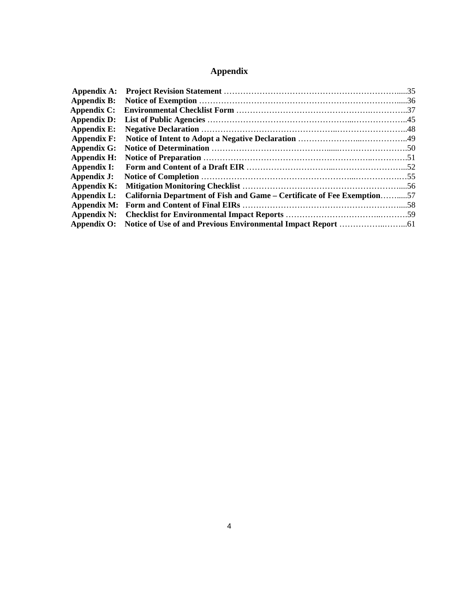## **Appendix**

| Appendix A:        |                                                                         |  |
|--------------------|-------------------------------------------------------------------------|--|
| <b>Appendix B:</b> |                                                                         |  |
| <b>Appendix C:</b> |                                                                         |  |
| <b>Appendix D:</b> |                                                                         |  |
| <b>Appendix E:</b> |                                                                         |  |
| <b>Appendix F:</b> |                                                                         |  |
| <b>Appendix G:</b> |                                                                         |  |
| <b>Appendix H:</b> |                                                                         |  |
| Appendix I:        |                                                                         |  |
| Appendix J:        |                                                                         |  |
| Appendix K:        |                                                                         |  |
| Appendix L:        | California Department of Fish and Game – Certificate of Fee Exemption57 |  |
| Appendix M:        |                                                                         |  |
| Appendix N:        |                                                                         |  |
|                    |                                                                         |  |
|                    |                                                                         |  |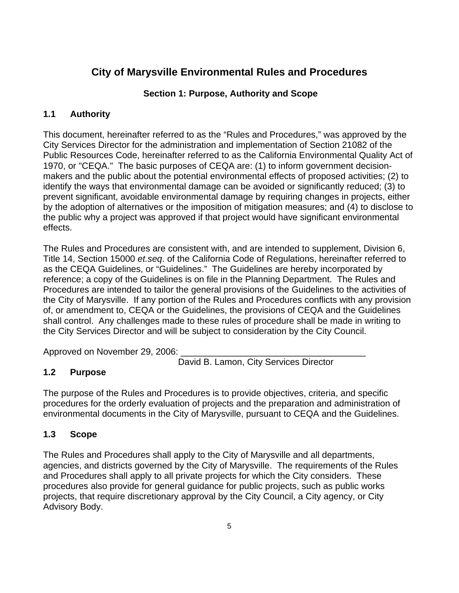## <span id="page-4-0"></span>**City of Marysville Environmental Rules and Procedures**

## **Section 1: Purpose, Authority and Scope**

## **1.1 Authority**

This document, hereinafter referred to as the "Rules and Procedures," was approved by the City Services Director for the administration and implementation of Section 21082 of the Public Resources Code, hereinafter referred to as the California Environmental Quality Act of 1970, or "CEQA." The basic purposes of CEQA are: (1) to inform government decisionmakers and the public about the potential environmental effects of proposed activities; (2) to identify the ways that environmental damage can be avoided or significantly reduced; (3) to prevent significant, avoidable environmental damage by requiring changes in projects, either by the adoption of alternatives or the imposition of mitigation measures; and (4) to disclose to the public why a project was approved if that project would have significant environmental effects.

The Rules and Procedures are consistent with, and are intended to supplement, Division 6, Title 14, Section 15000 *et.seq*. of the California Code of Regulations, hereinafter referred to as the CEQA Guidelines, or "Guidelines." The Guidelines are hereby incorporated by reference; a copy of the Guidelines is on file in the Planning Department. The Rules and Procedures are intended to tailor the general provisions of the Guidelines to the activities of the City of Marysville. If any portion of the Rules and Procedures conflicts with any provision of, or amendment to, CEQA or the Guidelines, the provisions of CEQA and the Guidelines shall control. Any challenges made to these rules of procedure shall be made in writing to the City Services Director and will be subject to consideration by the City Council.

Approved on November 29, 2006:

David B. Lamon, City Services Director

## **1.2 Purpose**

The purpose of the Rules and Procedures is to provide objectives, criteria, and specific procedures for the orderly evaluation of projects and the preparation and administration of environmental documents in the City of Marysville, pursuant to CEQA and the Guidelines.

## **1.3 Scope**

The Rules and Procedures shall apply to the City of Marysville and all departments, agencies, and districts governed by the City of Marysville. The requirements of the Rules and Procedures shall apply to all private projects for which the City considers. These procedures also provide for general guidance for public projects, such as public works projects, that require discretionary approval by the City Council, a City agency, or City Advisory Body.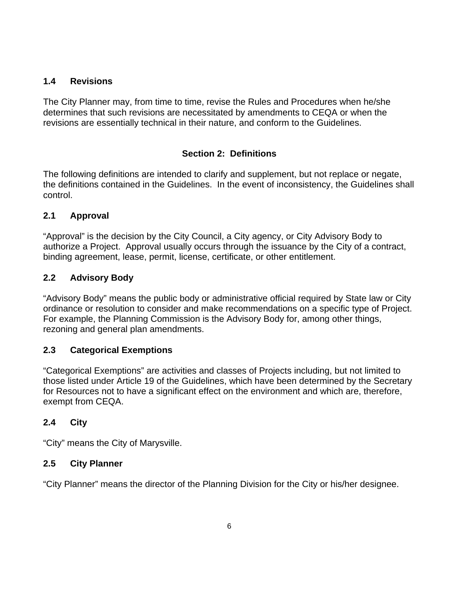#### <span id="page-5-0"></span>**1.4 Revisions**

The City Planner may, from time to time, revise the Rules and Procedures when he/she determines that such revisions are necessitated by amendments to CEQA or when the revisions are essentially technical in their nature, and conform to the Guidelines.

## **Section 2: Definitions**

The following definitions are intended to clarify and supplement, but not replace or negate, the definitions contained in the Guidelines. In the event of inconsistency, the Guidelines shall control.

## **2.1 Approval**

"Approval" is the decision by the City Council, a City agency, or City Advisory Body to authorize a Project. Approval usually occurs through the issuance by the City of a contract, binding agreement, lease, permit, license, certificate, or other entitlement.

## **2.2 Advisory Body**

"Advisory Body" means the public body or administrative official required by State law or City ordinance or resolution to consider and make recommendations on a specific type of Project. For example, the Planning Commission is the Advisory Body for, among other things, rezoning and general plan amendments.

## **2.3 Categorical Exemptions**

"Categorical Exemptions" are activities and classes of Projects including, but not limited to those listed under Article 19 of the Guidelines, which have been determined by the Secretary for Resources not to have a significant effect on the environment and which are, therefore, exempt from CEQA.

#### **2.4 City**

"City" means the City of Marysville.

#### **2.5 City Planner**

"City Planner" means the director of the Planning Division for the City or his/her designee.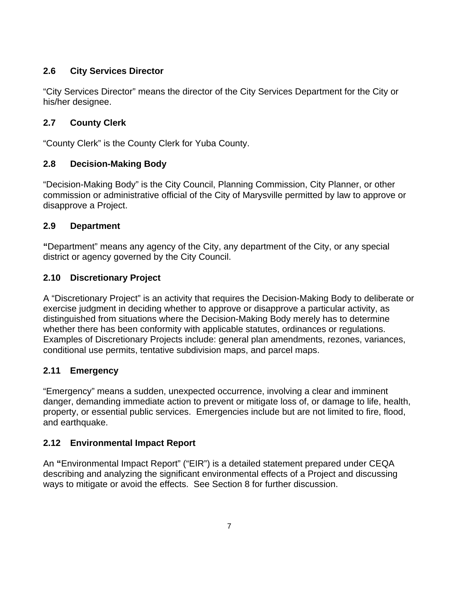## <span id="page-6-0"></span>**2.6 City Services Director**

"City Services Director" means the director of the City Services Department for the City or his/her designee.

## **2.7 County Clerk**

"County Clerk" is the County Clerk for Yuba County.

## **2.8 Decision-Making Body**

"Decision-Making Body" is the City Council, Planning Commission, City Planner, or other commission or administrative official of the City of Marysville permitted by law to approve or disapprove a Project.

## **2.9 Department**

**"**Department" means any agency of the City, any department of the City, or any special district or agency governed by the City Council.

## **2.10 Discretionary Project**

A "Discretionary Project" is an activity that requires the Decision-Making Body to deliberate or exercise judgment in deciding whether to approve or disapprove a particular activity, as distinguished from situations where the Decision-Making Body merely has to determine whether there has been conformity with applicable statutes, ordinances or regulations. Examples of Discretionary Projects include: general plan amendments, rezones, variances, conditional use permits, tentative subdivision maps, and parcel maps.

## **2.11 Emergency**

"Emergency" means a sudden, unexpected occurrence, involving a clear and imminent danger, demanding immediate action to prevent or mitigate loss of, or damage to life, health, property, or essential public services. Emergencies include but are not limited to fire, flood, and earthquake.

## **2.12 Environmental Impact Report**

An **"**Environmental Impact Report" ("EIR") is a detailed statement prepared under CEQA describing and analyzing the significant environmental effects of a Project and discussing ways to mitigate or avoid the effects. See Section 8 for further discussion.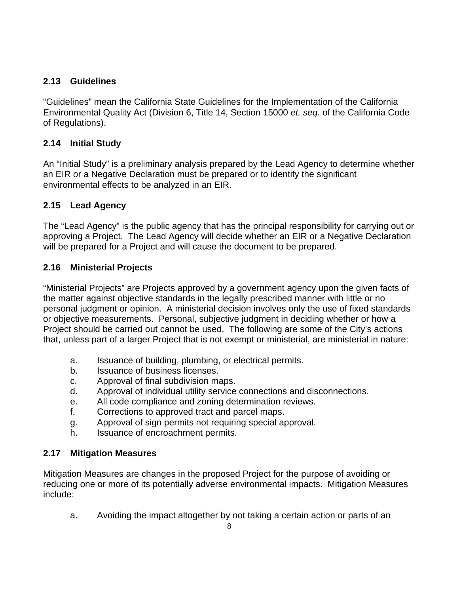## <span id="page-7-0"></span>**2.13 Guidelines**

"Guidelines" mean the California State Guidelines for the Implementation of the California Environmental Quality Act (Division 6, Title 14, Section 15000 *et. seq.* of the California Code of Regulations).

## **2.14 Initial Study**

An "Initial Study" is a preliminary analysis prepared by the Lead Agency to determine whether an EIR or a Negative Declaration must be prepared or to identify the significant environmental effects to be analyzed in an EIR.

## **2.15 Lead Agency**

The "Lead Agency" is the public agency that has the principal responsibility for carrying out or approving a Project. The Lead Agency will decide whether an EIR or a Negative Declaration will be prepared for a Project and will cause the document to be prepared.

## **2.16 Ministerial Projects**

"Ministerial Projects" are Projects approved by a government agency upon the given facts of the matter against objective standards in the legally prescribed manner with little or no personal judgment or opinion. A ministerial decision involves only the use of fixed standards or objective measurements. Personal, subjective judgment in deciding whether or how a Project should be carried out cannot be used. The following are some of the City's actions that, unless part of a larger Project that is not exempt or ministerial, are ministerial in nature:

- a. Issuance of building, plumbing, or electrical permits.
- b. Issuance of business licenses.
- c. Approval of final subdivision maps.
- d. Approval of individual utility service connections and disconnections.
- e. All code compliance and zoning determination reviews.
- f. Corrections to approved tract and parcel maps.
- g. Approval of sign permits not requiring special approval.
- h. Issuance of encroachment permits.

## **2.17 Mitigation Measures**

Mitigation Measures are changes in the proposed Project for the purpose of avoiding or reducing one or more of its potentially adverse environmental impacts. Mitigation Measures include:

a. Avoiding the impact altogether by not taking a certain action or parts of an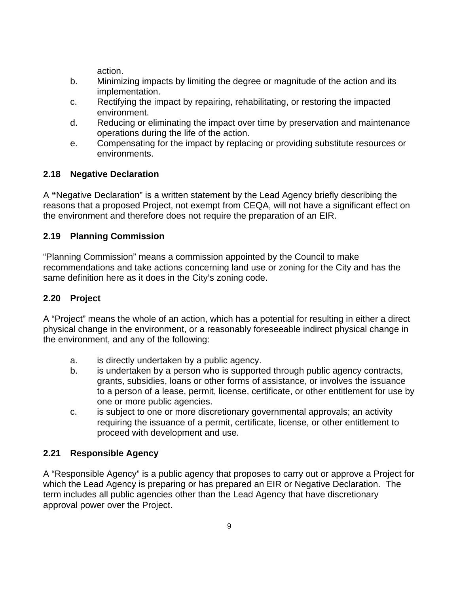action.

- <span id="page-8-0"></span>b. Minimizing impacts by limiting the degree or magnitude of the action and its implementation.
- c. Rectifying the impact by repairing, rehabilitating, or restoring the impacted environment.
- d. Reducing or eliminating the impact over time by preservation and maintenance operations during the life of the action.
- e. Compensating for the impact by replacing or providing substitute resources or environments.

## **2.18 Negative Declaration**

A **"**Negative Declaration" is a written statement by the Lead Agency briefly describing the reasons that a proposed Project, not exempt from CEQA, will not have a significant effect on the environment and therefore does not require the preparation of an EIR.

#### **2.19 Planning Commission**

"Planning Commission" means a commission appointed by the Council to make recommendations and take actions concerning land use or zoning for the City and has the same definition here as it does in the City's zoning code.

## **2.20 Project**

A "Project" means the whole of an action, which has a potential for resulting in either a direct physical change in the environment, or a reasonably foreseeable indirect physical change in the environment, and any of the following:

- a. is directly undertaken by a public agency.
- b. is undertaken by a person who is supported through public agency contracts, grants, subsidies, loans or other forms of assistance, or involves the issuance to a person of a lease, permit, license, certificate, or other entitlement for use by one or more public agencies.
- c. is subject to one or more discretionary governmental approvals; an activity requiring the issuance of a permit, certificate, license, or other entitlement to proceed with development and use.

## **2.21 Responsible Agency**

A "Responsible Agency" is a public agency that proposes to carry out or approve a Project for which the Lead Agency is preparing or has prepared an EIR or Negative Declaration. The term includes all public agencies other than the Lead Agency that have discretionary approval power over the Project.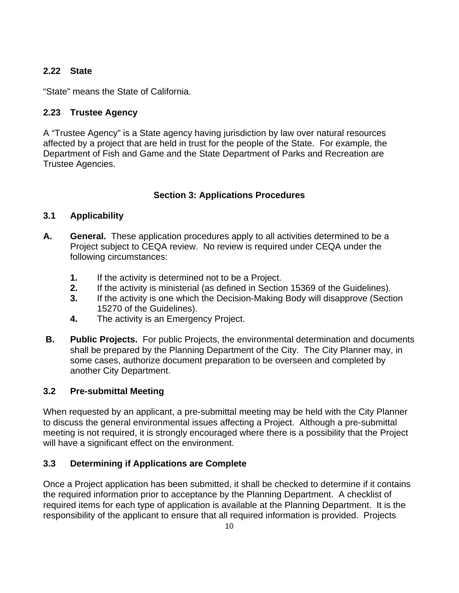## <span id="page-9-0"></span>**2.22 State**

"State" means the State of California.

## **2.23 Trustee Agency**

A "Trustee Agency" is a State agency having jurisdiction by law over natural resources affected by a project that are held in trust for the people of the State. For example, the Department of Fish and Game and the State Department of Parks and Recreation are Trustee Agencies.

## **Section 3: Applications Procedures**

## **3.1 Applicability**

- **A. General.** These application procedures apply to all activities determined to be a Project subject to CEQA review. No review is required under CEQA under the following circumstances:
	- **1.** If the activity is determined not to be a Project.
	- **2.** If the activity is ministerial (as defined in Section 15369 of the Guidelines).
	- **3.** If the activity is one which the Decision-Making Body will disapprove (Section 15270 of the Guidelines).
	- **4.** The activity is an Emergency Project.
- **B.** Public Projects. For public Projects, the environmental determination and documents shall be prepared by the Planning Department of the City. The City Planner may, in some cases, authorize document preparation to be overseen and completed by another City Department.

## **3.2 Pre-submittal Meeting**

When requested by an applicant, a pre-submittal meeting may be held with the City Planner to discuss the general environmental issues affecting a Project. Although a pre-submittal meeting is not required, it is strongly encouraged where there is a possibility that the Project will have a significant effect on the environment.

## **3.3 Determining if Applications are Complete**

Once a Project application has been submitted, it shall be checked to determine if it contains the required information prior to acceptance by the Planning Department. A checklist of required items for each type of application is available at the Planning Department. It is the responsibility of the applicant to ensure that all required information is provided. Projects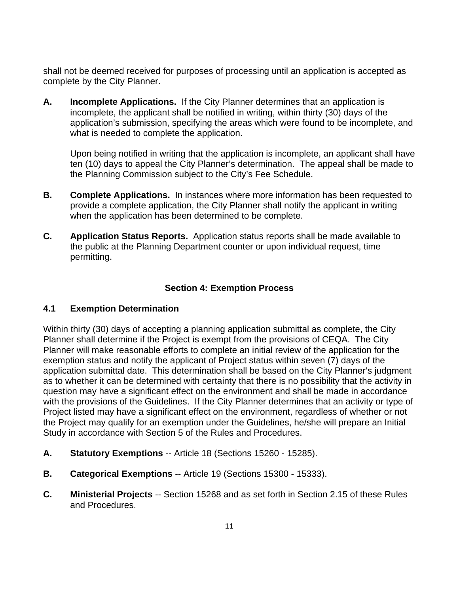<span id="page-10-0"></span>shall not be deemed received for purposes of processing until an application is accepted as complete by the City Planner.

**A. Incomplete Applications.** If the City Planner determines that an application is incomplete, the applicant shall be notified in writing, within thirty (30) days of the application's submission, specifying the areas which were found to be incomplete, and what is needed to complete the application.

 Upon being notified in writing that the application is incomplete, an applicant shall have ten (10) days to appeal the City Planner's determination. The appeal shall be made to the Planning Commission subject to the City's Fee Schedule.

- **B. Complete Applications.** In instances where more information has been requested to provide a complete application, the City Planner shall notify the applicant in writing when the application has been determined to be complete.
- **C. Application Status Reports.** Application status reports shall be made available to the public at the Planning Department counter or upon individual request, time permitting.

#### **Section 4: Exemption Process**

#### **4.1 Exemption Determination**

Within thirty (30) days of accepting a planning application submittal as complete, the City Planner shall determine if the Project is exempt from the provisions of CEQA. The City Planner will make reasonable efforts to complete an initial review of the application for the exemption status and notify the applicant of Project status within seven (7) days of the application submittal date. This determination shall be based on the City Planner's judgment as to whether it can be determined with certainty that there is no possibility that the activity in question may have a significant effect on the environment and shall be made in accordance with the provisions of the Guidelines. If the City Planner determines that an activity or type of Project listed may have a significant effect on the environment, regardless of whether or not the Project may qualify for an exemption under the Guidelines, he/she will prepare an Initial Study in accordance with Section 5 of the Rules and Procedures.

- **A. Statutory Exemptions** -- Article 18 (Sections 15260 15285).
- **B. Categorical Exemptions** -- Article 19 (Sections 15300 15333).
- **C. Ministerial Projects** -- Section 15268 and as set forth in Section 2.15 of these Rules and Procedures.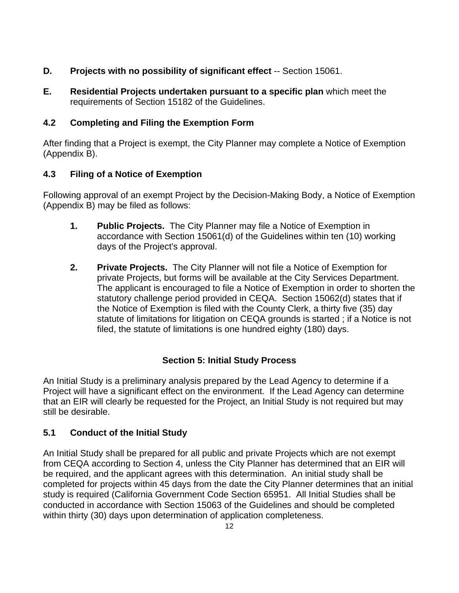- <span id="page-11-0"></span>**D. Projects with no possibility of significant effect** -- Section 15061.
- **E. Residential Projects undertaken pursuant to a specific plan** which meet the requirements of Section 15182 of the Guidelines.

## **4.2 Completing and Filing the Exemption Form**

After finding that a Project is exempt, the City Planner may complete a Notice of Exemption (Appendix B).

## **4.3 Filing of a Notice of Exemption**

Following approval of an exempt Project by the Decision-Making Body, a Notice of Exemption (Appendix B) may be filed as follows:

- **1. Public Projects.** The City Planner may file a Notice of Exemption in accordance with Section 15061(d) of the Guidelines within ten (10) working days of the Project's approval.
- **2. Private Projects.** The City Planner will not file a Notice of Exemption for private Projects, but forms will be available at the City Services Department. The applicant is encouraged to file a Notice of Exemption in order to shorten the statutory challenge period provided in CEQA. Section 15062(d) states that if the Notice of Exemption is filed with the County Clerk, a thirty five (35) day statute of limitations for litigation on CEQA grounds is started ; if a Notice is not filed, the statute of limitations is one hundred eighty (180) days.

## **Section 5: Initial Study Process**

An Initial Study is a preliminary analysis prepared by the Lead Agency to determine if a Project will have a significant effect on the environment. If the Lead Agency can determine that an EIR will clearly be requested for the Project, an Initial Study is not required but may still be desirable.

## **5.1 Conduct of the Initial Study**

An Initial Study shall be prepared for all public and private Projects which are not exempt from CEQA according to Section 4, unless the City Planner has determined that an EIR will be required, and the applicant agrees with this determination. An initial study shall be completed for projects within 45 days from the date the City Planner determines that an initial study is required (California Government Code Section 65951. All Initial Studies shall be conducted in accordance with Section 15063 of the Guidelines and should be completed within thirty (30) days upon determination of application completeness.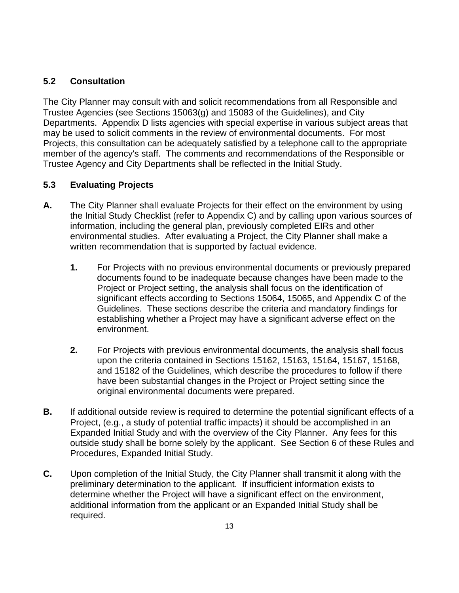#### <span id="page-12-0"></span>**5.2 Consultation**

The City Planner may consult with and solicit recommendations from all Responsible and Trustee Agencies (see Sections 15063(g) and 15083 of the Guidelines), and City Departments. Appendix D lists agencies with special expertise in various subject areas that may be used to solicit comments in the review of environmental documents. For most Projects, this consultation can be adequately satisfied by a telephone call to the appropriate member of the agency's staff. The comments and recommendations of the Responsible or Trustee Agency and City Departments shall be reflected in the Initial Study.

#### **5.3 Evaluating Projects**

- **A.** The City Planner shall evaluate Projects for their effect on the environment by using the Initial Study Checklist (refer to Appendix C) and by calling upon various sources of information, including the general plan, previously completed EIRs and other environmental studies. After evaluating a Project, the City Planner shall make a written recommendation that is supported by factual evidence.
	- **1.** For Projects with no previous environmental documents or previously prepared documents found to be inadequate because changes have been made to the Project or Project setting, the analysis shall focus on the identification of significant effects according to Sections 15064, 15065, and Appendix C of the Guidelines. These sections describe the criteria and mandatory findings for establishing whether a Project may have a significant adverse effect on the environment.
	- **2.** For Projects with previous environmental documents, the analysis shall focus upon the criteria contained in Sections 15162, 15163, 15164, 15167, 15168, and 15182 of the Guidelines, which describe the procedures to follow if there have been substantial changes in the Project or Project setting since the original environmental documents were prepared.
- **B.** If additional outside review is required to determine the potential significant effects of a Project, (e.g., a study of potential traffic impacts) it should be accomplished in an Expanded Initial Study and with the overview of the City Planner. Any fees for this outside study shall be borne solely by the applicant. See Section 6 of these Rules and Procedures, Expanded Initial Study.
- **C.** Upon completion of the Initial Study, the City Planner shall transmit it along with the preliminary determination to the applicant. If insufficient information exists to determine whether the Project will have a significant effect on the environment, additional information from the applicant or an Expanded Initial Study shall be required.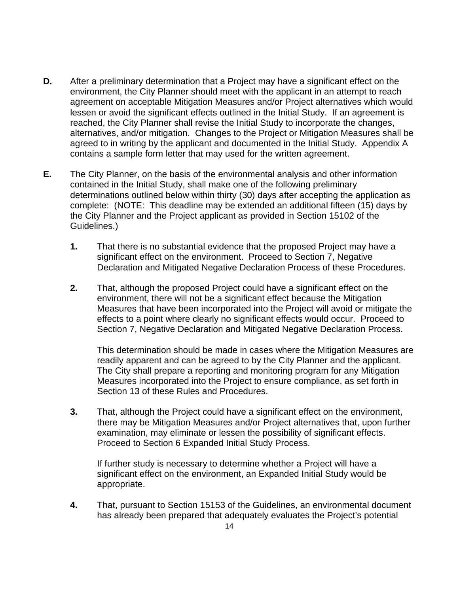- **D.** After a preliminary determination that a Project may have a significant effect on the environment, the City Planner should meet with the applicant in an attempt to reach agreement on acceptable Mitigation Measures and/or Project alternatives which would lessen or avoid the significant effects outlined in the Initial Study. If an agreement is reached, the City Planner shall revise the Initial Study to incorporate the changes, alternatives, and/or mitigation. Changes to the Project or Mitigation Measures shall be agreed to in writing by the applicant and documented in the Initial Study. Appendix A contains a sample form letter that may used for the written agreement.
- **E.** The City Planner, on the basis of the environmental analysis and other information contained in the Initial Study, shall make one of the following preliminary determinations outlined below within thirty (30) days after accepting the application as complete: (NOTE: This deadline may be extended an additional fifteen (15) days by the City Planner and the Project applicant as provided in Section 15102 of the Guidelines.)
	- **1.** That there is no substantial evidence that the proposed Project may have a significant effect on the environment. Proceed to Section 7, Negative Declaration and Mitigated Negative Declaration Process of these Procedures.
	- **2.** That, although the proposed Project could have a significant effect on the environment, there will not be a significant effect because the Mitigation Measures that have been incorporated into the Project will avoid or mitigate the effects to a point where clearly no significant effects would occur. Proceed to Section 7, Negative Declaration and Mitigated Negative Declaration Process.

This determination should be made in cases where the Mitigation Measures are readily apparent and can be agreed to by the City Planner and the applicant. The City shall prepare a reporting and monitoring program for any Mitigation Measures incorporated into the Project to ensure compliance, as set forth in Section 13 of these Rules and Procedures.

**3.** That, although the Project could have a significant effect on the environment, there may be Mitigation Measures and/or Project alternatives that, upon further examination, may eliminate or lessen the possibility of significant effects. Proceed to Section 6 Expanded Initial Study Process.

If further study is necessary to determine whether a Project will have a significant effect on the environment, an Expanded Initial Study would be appropriate.

**4.** That, pursuant to Section 15153 of the Guidelines, an environmental document has already been prepared that adequately evaluates the Project's potential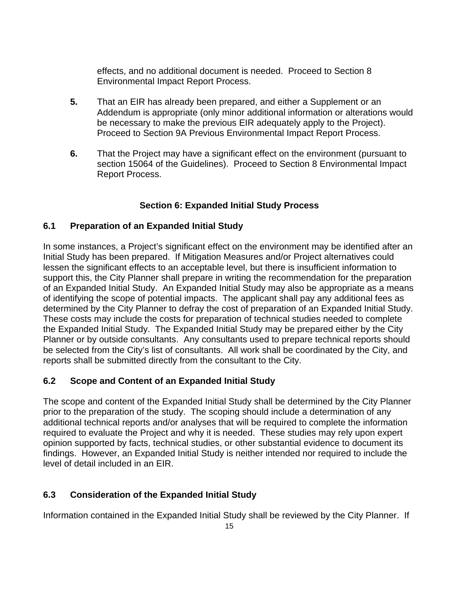<span id="page-14-0"></span>effects, and no additional document is needed. Proceed to Section 8 Environmental Impact Report Process.

- **5.** That an EIR has already been prepared, and either a Supplement or an Addendum is appropriate (only minor additional information or alterations would be necessary to make the previous EIR adequately apply to the Project). Proceed to Section 9A Previous Environmental Impact Report Process.
- **6.** That the Project may have a significant effect on the environment (pursuant to section 15064 of the Guidelines). Proceed to Section 8 Environmental Impact Report Process.

## **Section 6: Expanded Initial Study Process**

#### **6.1 Preparation of an Expanded Initial Study**

In some instances, a Project's significant effect on the environment may be identified after an Initial Study has been prepared. If Mitigation Measures and/or Project alternatives could lessen the significant effects to an acceptable level, but there is insufficient information to support this, the City Planner shall prepare in writing the recommendation for the preparation of an Expanded Initial Study. An Expanded Initial Study may also be appropriate as a means of identifying the scope of potential impacts. The applicant shall pay any additional fees as determined by the City Planner to defray the cost of preparation of an Expanded Initial Study. These costs may include the costs for preparation of technical studies needed to complete the Expanded Initial Study. The Expanded Initial Study may be prepared either by the City Planner or by outside consultants. Any consultants used to prepare technical reports should be selected from the City's list of consultants. All work shall be coordinated by the City, and reports shall be submitted directly from the consultant to the City.

## **6.2 Scope and Content of an Expanded Initial Study**

The scope and content of the Expanded Initial Study shall be determined by the City Planner prior to the preparation of the study. The scoping should include a determination of any additional technical reports and/or analyses that will be required to complete the information required to evaluate the Project and why it is needed. These studies may rely upon expert opinion supported by facts, technical studies, or other substantial evidence to document its findings. However, an Expanded Initial Study is neither intended nor required to include the level of detail included in an EIR.

## **6.3 Consideration of the Expanded Initial Study**

Information contained in the Expanded Initial Study shall be reviewed by the City Planner. If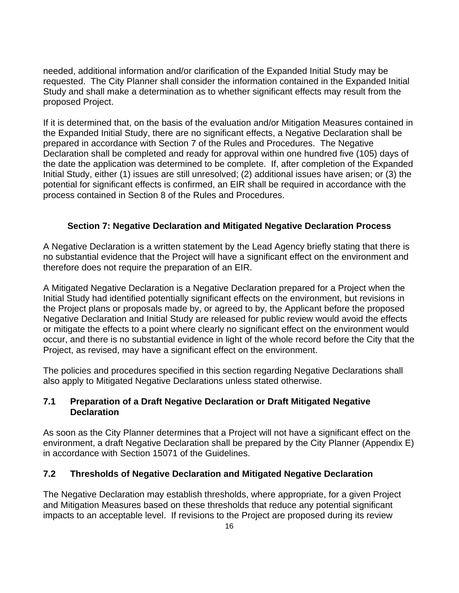<span id="page-15-0"></span>needed, additional information and/or clarification of the Expanded Initial Study may be requested. The City Planner shall consider the information contained in the Expanded Initial Study and shall make a determination as to whether significant effects may result from the proposed Project.

If it is determined that, on the basis of the evaluation and/or Mitigation Measures contained in the Expanded Initial Study, there are no significant effects, a Negative Declaration shall be prepared in accordance with Section 7 of the Rules and Procedures. The Negative Declaration shall be completed and ready for approval within one hundred five (105) days of the date the application was determined to be complete. If, after completion of the Expanded Initial Study, either (1) issues are still unresolved; (2) additional issues have arisen; or (3) the potential for significant effects is confirmed, an EIR shall be required in accordance with the process contained in Section 8 of the Rules and Procedures.

#### **Section 7: Negative Declaration and Mitigated Negative Declaration Process**

A Negative Declaration is a written statement by the Lead Agency briefly stating that there is no substantial evidence that the Project will have a significant effect on the environment and therefore does not require the preparation of an EIR.

A Mitigated Negative Declaration is a Negative Declaration prepared for a Project when the Initial Study had identified potentially significant effects on the environment, but revisions in the Project plans or proposals made by, or agreed to by, the Applicant before the proposed Negative Declaration and Initial Study are released for public review would avoid the effects or mitigate the effects to a point where clearly no significant effect on the environment would occur, and there is no substantial evidence in light of the whole record before the City that the Project, as revised, may have a significant effect on the environment.

The policies and procedures specified in this section regarding Negative Declarations shall also apply to Mitigated Negative Declarations unless stated otherwise.

#### **7.1 Preparation of a Draft Negative Declaration or Draft Mitigated Negative Declaration**

As soon as the City Planner determines that a Project will not have a significant effect on the environment, a draft Negative Declaration shall be prepared by the City Planner (Appendix E) in accordance with Section 15071 of the Guidelines.

#### **7.2 Thresholds of Negative Declaration and Mitigated Negative Declaration**

The Negative Declaration may establish thresholds, where appropriate, for a given Project and Mitigation Measures based on these thresholds that reduce any potential significant impacts to an acceptable level. If revisions to the Project are proposed during its review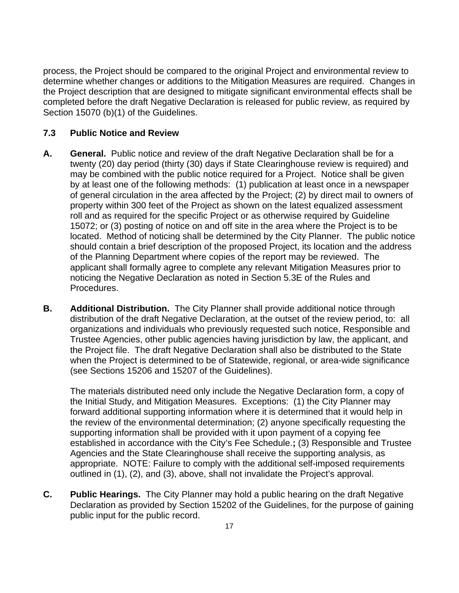<span id="page-16-0"></span>process, the Project should be compared to the original Project and environmental review to determine whether changes or additions to the Mitigation Measures are required. Changes in the Project description that are designed to mitigate significant environmental effects shall be completed before the draft Negative Declaration is released for public review, as required by Section 15070 (b)(1) of the Guidelines.

#### **7.3 Public Notice and Review**

- **A. General.** Public notice and review of the draft Negative Declaration shall be for a twenty (20) day period (thirty (30) days if State Clearinghouse review is required) and may be combined with the public notice required for a Project. Notice shall be given by at least one of the following methods: (1) publication at least once in a newspaper of general circulation in the area affected by the Project; (2) by direct mail to owners of property within 300 feet of the Project as shown on the latest equalized assessment roll and as required for the specific Project or as otherwise required by Guideline 15072; or (3) posting of notice on and off site in the area where the Project is to be located. Method of noticing shall be determined by the City Planner. The public notice should contain a brief description of the proposed Project, its location and the address of the Planning Department where copies of the report may be reviewed. The applicant shall formally agree to complete any relevant Mitigation Measures prior to noticing the Negative Declaration as noted in Section 5.3E of the Rules and Procedures.
- **B. Additional Distribution.** The City Planner shall provide additional notice through distribution of the draft Negative Declaration, at the outset of the review period, to: all organizations and individuals who previously requested such notice, Responsible and Trustee Agencies, other public agencies having jurisdiction by law, the applicant, and the Project file. The draft Negative Declaration shall also be distributed to the State when the Project is determined to be of Statewide, regional, or area-wide significance (see Sections 15206 and 15207 of the Guidelines).

The materials distributed need only include the Negative Declaration form, a copy of the Initial Study, and Mitigation Measures. Exceptions: (1) the City Planner may forward additional supporting information where it is determined that it would help in the review of the environmental determination; (2) anyone specifically requesting the supporting information shall be provided with it upon payment of a copying fee established in accordance with the City's Fee Schedule.**;** (3) Responsible and Trustee Agencies and the State Clearinghouse shall receive the supporting analysis, as appropriate. NOTE: Failure to comply with the additional self-imposed requirements outlined in (1), (2), and (3), above, shall not invalidate the Project's approval.

**C. Public Hearings.** The City Planner may hold a public hearing on the draft Negative Declaration as provided by Section 15202 of the Guidelines, for the purpose of gaining public input for the public record.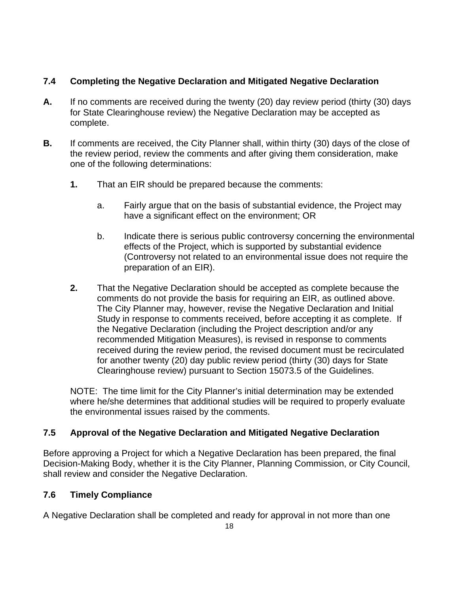#### <span id="page-17-0"></span>**7.4 Completing the Negative Declaration and Mitigated Negative Declaration**

- **A.** If no comments are received during the twenty (20) day review period (thirty (30) days for State Clearinghouse review) the Negative Declaration may be accepted as complete.
- **B.** If comments are received, the City Planner shall, within thirty (30) days of the close of the review period, review the comments and after giving them consideration, make one of the following determinations:
	- **1.** That an EIR should be prepared because the comments:
		- a. Fairly argue that on the basis of substantial evidence, the Project may have a significant effect on the environment; OR
		- b. Indicate there is serious public controversy concerning the environmental effects of the Project, which is supported by substantial evidence (Controversy not related to an environmental issue does not require the preparation of an EIR).
	- **2.** That the Negative Declaration should be accepted as complete because the comments do not provide the basis for requiring an EIR, as outlined above. The City Planner may, however, revise the Negative Declaration and Initial Study in response to comments received, before accepting it as complete. If the Negative Declaration (including the Project description and/or any recommended Mitigation Measures), is revised in response to comments received during the review period, the revised document must be recirculated for another twenty (20) day public review period (thirty (30) days for State Clearinghouse review) pursuant to Section 15073.5 of the Guidelines.

NOTE: The time limit for the City Planner's initial determination may be extended where he/she determines that additional studies will be required to properly evaluate the environmental issues raised by the comments.

## **7.5 Approval of the Negative Declaration and Mitigated Negative Declaration**

Before approving a Project for which a Negative Declaration has been prepared, the final Decision-Making Body, whether it is the City Planner, Planning Commission, or City Council, shall review and consider the Negative Declaration.

## **7.6 Timely Compliance**

A Negative Declaration shall be completed and ready for approval in not more than one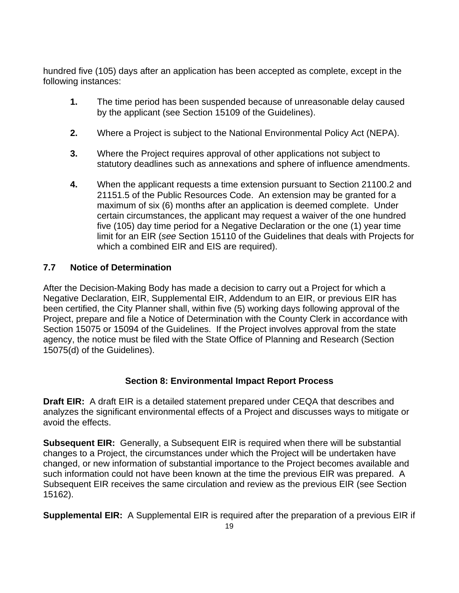<span id="page-18-0"></span>hundred five (105) days after an application has been accepted as complete, except in the following instances:

- **1.** The time period has been suspended because of unreasonable delay caused by the applicant (see Section 15109 of the Guidelines).
- **2.** Where a Project is subject to the National Environmental Policy Act (NEPA).
- **3.** Where the Project requires approval of other applications not subject to statutory deadlines such as annexations and sphere of influence amendments.
- **4.** When the applicant requests a time extension pursuant to Section 21100.2 and 21151.5 of the Public Resources Code. An extension may be granted for a maximum of six (6) months after an application is deemed complete. Under certain circumstances, the applicant may request a waiver of the one hundred five (105) day time period for a Negative Declaration or the one (1) year time limit for an EIR (*see* Section 15110 of the Guidelines that deals with Projects for which a combined EIR and EIS are required).

#### **7.7 Notice of Determination**

After the Decision-Making Body has made a decision to carry out a Project for which a Negative Declaration, EIR, Supplemental EIR, Addendum to an EIR, or previous EIR has been certified, the City Planner shall, within five (5) working days following approval of the Project, prepare and file a Notice of Determination with the County Clerk in accordance with Section 15075 or 15094 of the Guidelines. If the Project involves approval from the state agency, the notice must be filed with the State Office of Planning and Research (Section 15075(d) of the Guidelines).

#### **Section 8: Environmental Impact Report Process**

**Draft EIR:** A draft EIR is a detailed statement prepared under CEQA that describes and analyzes the significant environmental effects of a Project and discusses ways to mitigate or avoid the effects.

**Subsequent EIR:** Generally, a Subsequent EIR is required when there will be substantial changes to a Project, the circumstances under which the Project will be undertaken have changed, or new information of substantial importance to the Project becomes available and such information could not have been known at the time the previous EIR was prepared. A Subsequent EIR receives the same circulation and review as the previous EIR (see Section 15162).

**Supplemental EIR:** A Supplemental EIR is required after the preparation of a previous EIR if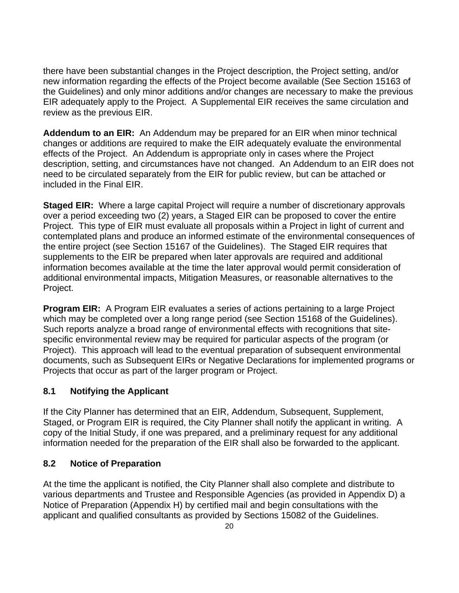<span id="page-19-0"></span>there have been substantial changes in the Project description, the Project setting, and/or new information regarding the effects of the Project become available (See Section 15163 of the Guidelines) and only minor additions and/or changes are necessary to make the previous EIR adequately apply to the Project. A Supplemental EIR receives the same circulation and review as the previous EIR.

**Addendum to an EIR:** An Addendum may be prepared for an EIR when minor technical changes or additions are required to make the EIR adequately evaluate the environmental effects of the Project. An Addendum is appropriate only in cases where the Project description, setting, and circumstances have not changed. An Addendum to an EIR does not need to be circulated separately from the EIR for public review, but can be attached or included in the Final EIR.

**Staged EIR:** Where a large capital Project will require a number of discretionary approvals over a period exceeding two (2) years, a Staged EIR can be proposed to cover the entire Project. This type of EIR must evaluate all proposals within a Project in light of current and contemplated plans and produce an informed estimate of the environmental consequences of the entire project (see Section 15167 of the Guidelines). The Staged EIR requires that supplements to the EIR be prepared when later approvals are required and additional information becomes available at the time the later approval would permit consideration of additional environmental impacts, Mitigation Measures, or reasonable alternatives to the Project.

**Program EIR:** A Program EIR evaluates a series of actions pertaining to a large Project which may be completed over a long range period (see Section 15168 of the Guidelines). Such reports analyze a broad range of environmental effects with recognitions that sitespecific environmental review may be required for particular aspects of the program (or Project). This approach will lead to the eventual preparation of subsequent environmental documents, such as Subsequent EIRs or Negative Declarations for implemented programs or Projects that occur as part of the larger program or Project.

#### **8.1 Notifying the Applicant**

If the City Planner has determined that an EIR, Addendum, Subsequent, Supplement, Staged, or Program EIR is required, the City Planner shall notify the applicant in writing. A copy of the Initial Study, if one was prepared, and a preliminary request for any additional information needed for the preparation of the EIR shall also be forwarded to the applicant.

#### **8.2 Notice of Preparation**

At the time the applicant is notified, the City Planner shall also complete and distribute to various departments and Trustee and Responsible Agencies (as provided in Appendix D) a Notice of Preparation (Appendix H) by certified mail and begin consultations with the applicant and qualified consultants as provided by Sections 15082 of the Guidelines.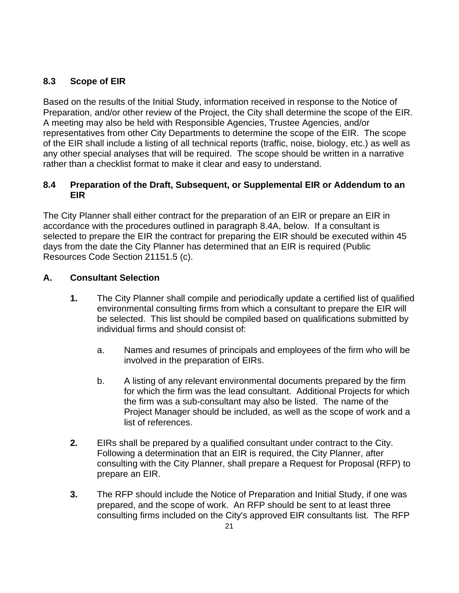## <span id="page-20-0"></span>**8.3 Scope of EIR**

Based on the results of the Initial Study, information received in response to the Notice of Preparation, and/or other review of the Project, the City shall determine the scope of the EIR. A meeting may also be held with Responsible Agencies, Trustee Agencies, and/or representatives from other City Departments to determine the scope of the EIR. The scope of the EIR shall include a listing of all technical reports (traffic, noise, biology, etc.) as well as any other special analyses that will be required. The scope should be written in a narrative rather than a checklist format to make it clear and easy to understand.

#### **8.4 Preparation of the Draft, Subsequent, or Supplemental EIR or Addendum to an EIR**

The City Planner shall either contract for the preparation of an EIR or prepare an EIR in accordance with the procedures outlined in paragraph 8.4A, below. If a consultant is selected to prepare the EIR the contract for preparing the EIR should be executed within 45 days from the date the City Planner has determined that an EIR is required (Public Resources Code Section 21151.5 (c).

#### **A. Consultant Selection**

- **1.** The City Planner shall compile and periodically update a certified list of qualified environmental consulting firms from which a consultant to prepare the EIR will be selected. This list should be compiled based on qualifications submitted by individual firms and should consist of:
	- a. Names and resumes of principals and employees of the firm who will be involved in the preparation of EIRs.
	- b. A listing of any relevant environmental documents prepared by the firm for which the firm was the lead consultant. Additional Projects for which the firm was a sub-consultant may also be listed. The name of the Project Manager should be included, as well as the scope of work and a list of references.
- **2.** EIRs shall be prepared by a qualified consultant under contract to the City. Following a determination that an EIR is required, the City Planner, after consulting with the City Planner, shall prepare a Request for Proposal (RFP) to prepare an EIR.
- **3.** The RFP should include the Notice of Preparation and Initial Study, if one was prepared, and the scope of work. An RFP should be sent to at least three consulting firms included on the City's approved EIR consultants list. The RFP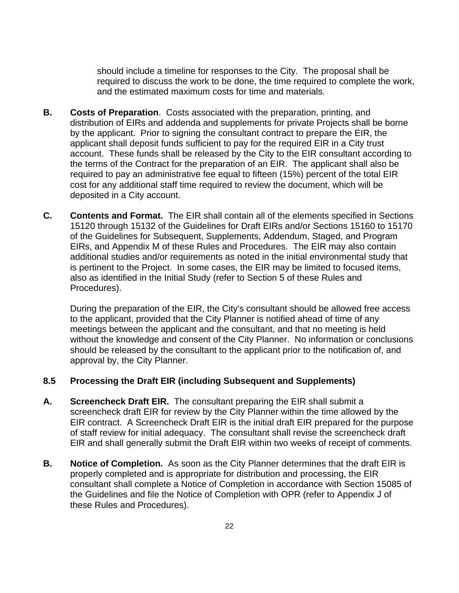should include a timeline for responses to the City. The proposal shall be required to discuss the work to be done, the time required to complete the work, and the estimated maximum costs for time and materials.

- <span id="page-21-0"></span>**B. Costs of Preparation**. Costs associated with the preparation, printing, and distribution of EIRs and addenda and supplements for private Projects shall be borne by the applicant. Prior to signing the consultant contract to prepare the EIR, the applicant shall deposit funds sufficient to pay for the required EIR in a City trust account. These funds shall be released by the City to the EIR consultant according to the terms of the Contract for the preparation of an EIR. The applicant shall also be required to pay an administrative fee equal to fifteen (15%) percent of the total EIR cost for any additional staff time required to review the document, which will be deposited in a City account.
- **C. Contents and Format.** The EIR shall contain all of the elements specified in Sections 15120 through 15132 of the Guidelines for Draft EIRs and/or Sections 15160 to 15170 of the Guidelines for Subsequent, Supplements, Addendum, Staged, and Program EIRs, and Appendix M of these Rules and Procedures. The EIR may also contain additional studies and/or requirements as noted in the initial environmental study that is pertinent to the Project. In some cases, the EIR may be limited to focused items, also as identified in the Initial Study (refer to Section 5 of these Rules and Procedures).

During the preparation of the EIR, the City's consultant should be allowed free access to the applicant, provided that the City Planner is notified ahead of time of any meetings between the applicant and the consultant, and that no meeting is held without the knowledge and consent of the City Planner. No information or conclusions should be released by the consultant to the applicant prior to the notification of, and approval by, the City Planner.

#### **8.5 Processing the Draft EIR (including Subsequent and Supplements)**

- **A. Screencheck Draft EIR.** The consultant preparing the EIR shall submit a screencheck draft EIR for review by the City Planner within the time allowed by the EIR contract. A Screencheck Draft EIR is the initial draft EIR prepared for the purpose of staff review for initial adequacy. The consultant shall revise the screencheck draft EIR and shall generally submit the Draft EIR within two weeks of receipt of comments.
- **B. Notice of Completion.** As soon as the City Planner determines that the draft EIR is properly completed and is appropriate for distribution and processing, the EIR consultant shall complete a Notice of Completion in accordance with Section 15085 of the Guidelines and file the Notice of Completion with OPR (refer to Appendix J of these Rules and Procedures).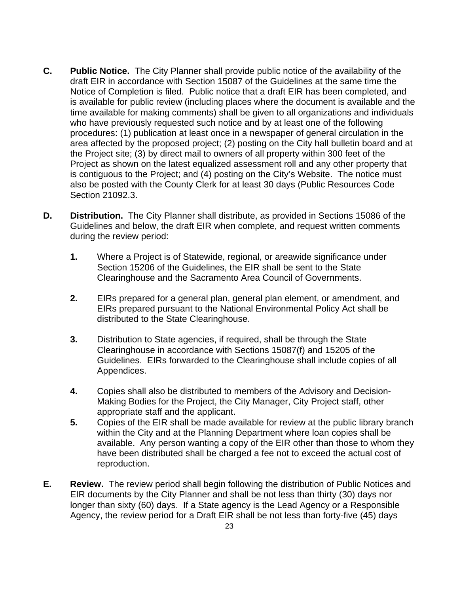- **C. Public Notice.** The City Planner shall provide public notice of the availability of the draft EIR in accordance with Section 15087 of the Guidelines at the same time the Notice of Completion is filed. Public notice that a draft EIR has been completed, and is available for public review (including places where the document is available and the time available for making comments) shall be given to all organizations and individuals who have previously requested such notice and by at least one of the following procedures: (1) publication at least once in a newspaper of general circulation in the area affected by the proposed project; (2) posting on the City hall bulletin board and at the Project site; (3) by direct mail to owners of all property within 300 feet of the Project as shown on the latest equalized assessment roll and any other property that is contiguous to the Project; and (4) posting on the City's Website. The notice must also be posted with the County Clerk for at least 30 days (Public Resources Code Section 21092.3.
- **D. Distribution.** The City Planner shall distribute, as provided in Sections 15086 of the Guidelines and below, the draft EIR when complete, and request written comments during the review period:
	- **1.** Where a Project is of Statewide, regional, or areawide significance under Section 15206 of the Guidelines, the EIR shall be sent to the State Clearinghouse and the Sacramento Area Council of Governments.
	- **2.** EIRs prepared for a general plan, general plan element, or amendment, and EIRs prepared pursuant to the National Environmental Policy Act shall be distributed to the State Clearinghouse.
	- **3.** Distribution to State agencies, if required, shall be through the State Clearinghouse in accordance with Sections 15087(f) and 15205 of the Guidelines. EIRs forwarded to the Clearinghouse shall include copies of all Appendices.
	- **4.** Copies shall also be distributed to members of the Advisory and Decision-Making Bodies for the Project, the City Manager, City Project staff, other appropriate staff and the applicant.
	- **5.** Copies of the EIR shall be made available for review at the public library branch within the City and at the Planning Department where loan copies shall be available. Any person wanting a copy of the EIR other than those to whom they have been distributed shall be charged a fee not to exceed the actual cost of reproduction.
- **E. Review.** The review period shall begin following the distribution of Public Notices and EIR documents by the City Planner and shall be not less than thirty (30) days nor longer than sixty (60) days. If a State agency is the Lead Agency or a Responsible Agency, the review period for a Draft EIR shall be not less than forty-five (45) days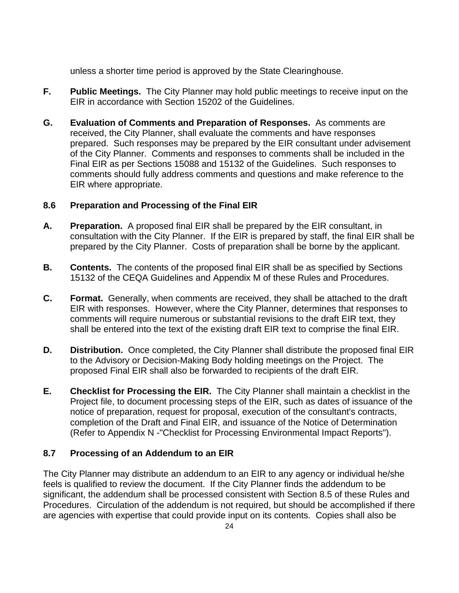<span id="page-23-0"></span>unless a shorter time period is approved by the State Clearinghouse.

- **F. Public Meetings.** The City Planner may hold public meetings to receive input on the EIR in accordance with Section 15202 of the Guidelines.
- **G. Evaluation of Comments and Preparation of Responses.** As comments are received, the City Planner, shall evaluate the comments and have responses prepared. Such responses may be prepared by the EIR consultant under advisement of the City Planner. Comments and responses to comments shall be included in the Final EIR as per Sections 15088 and 15132 of the Guidelines. Such responses to comments should fully address comments and questions and make reference to the EIR where appropriate.

#### **8.6 Preparation and Processing of the Final EIR**

- **A. Preparation.** A proposed final EIR shall be prepared by the EIR consultant, in consultation with the City Planner. If the EIR is prepared by staff, the final EIR shall be prepared by the City Planner. Costs of preparation shall be borne by the applicant.
- **B. Contents.** The contents of the proposed final EIR shall be as specified by Sections 15132 of the CEQA Guidelines and Appendix M of these Rules and Procedures.
- **C. Format.** Generally, when comments are received, they shall be attached to the draft EIR with responses. However, where the City Planner, determines that responses to comments will require numerous or substantial revisions to the draft EIR text, they shall be entered into the text of the existing draft EIR text to comprise the final EIR.
- **D. Distribution.** Once completed, the City Planner shall distribute the proposed final EIR to the Advisory or Decision-Making Body holding meetings on the Project. The proposed Final EIR shall also be forwarded to recipients of the draft EIR.
- **E. Checklist for Processing the EIR.** The City Planner shall maintain a checklist in the Project file, to document processing steps of the EIR, such as dates of issuance of the notice of preparation, request for proposal, execution of the consultant's contracts, completion of the Draft and Final EIR, and issuance of the Notice of Determination (Refer to Appendix N -"Checklist for Processing Environmental Impact Reports").

## **8.7 Processing of an Addendum to an EIR**

The City Planner may distribute an addendum to an EIR to any agency or individual he/she feels is qualified to review the document. If the City Planner finds the addendum to be significant, the addendum shall be processed consistent with Section 8.5 of these Rules and Procedures. Circulation of the addendum is not required, but should be accomplished if there are agencies with expertise that could provide input on its contents. Copies shall also be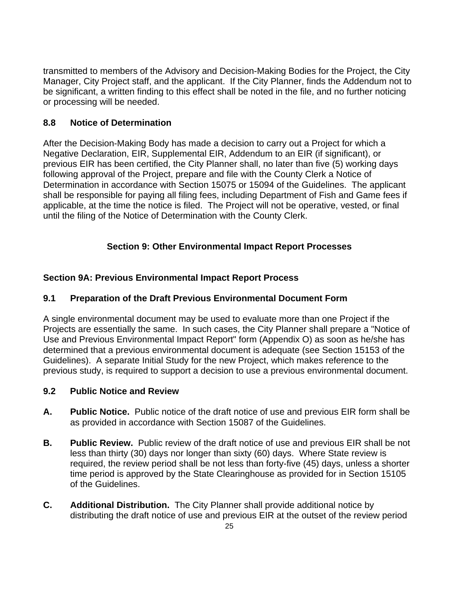<span id="page-24-0"></span>transmitted to members of the Advisory and Decision-Making Bodies for the Project, the City Manager, City Project staff, and the applicant. If the City Planner, finds the Addendum not to be significant, a written finding to this effect shall be noted in the file, and no further noticing or processing will be needed.

#### **8.8 Notice of Determination**

After the Decision-Making Body has made a decision to carry out a Project for which a Negative Declaration, EIR, Supplemental EIR, Addendum to an EIR (if significant), or previous EIR has been certified, the City Planner shall, no later than five (5) working days following approval of the Project, prepare and file with the County Clerk a Notice of Determination in accordance with Section 15075 or 15094 of the Guidelines. The applicant shall be responsible for paying all filing fees, including Department of Fish and Game fees if applicable, at the time the notice is filed. The Project will not be operative, vested, or final until the filing of the Notice of Determination with the County Clerk.

#### **Section 9: Other Environmental Impact Report Processes**

#### **Section 9A: Previous Environmental Impact Report Process**

#### **9.1 Preparation of the Draft Previous Environmental Document Form**

A single environmental document may be used to evaluate more than one Project if the Projects are essentially the same. In such cases, the City Planner shall prepare a "Notice of Use and Previous Environmental Impact Report" form (Appendix O) as soon as he/she has determined that a previous environmental document is adequate (see Section 15153 of the Guidelines). A separate Initial Study for the new Project, which makes reference to the previous study, is required to support a decision to use a previous environmental document.

#### **9.2 Public Notice and Review**

- **A. Public Notice.** Public notice of the draft notice of use and previous EIR form shall be as provided in accordance with Section 15087 of the Guidelines.
- **B. Public Review.** Public review of the draft notice of use and previous EIR shall be not less than thirty (30) days nor longer than sixty (60) days. Where State review is required, the review period shall be not less than forty-five (45) days, unless a shorter time period is approved by the State Clearinghouse as provided for in Section 15105 of the Guidelines.
- **C. Additional Distribution.** The City Planner shall provide additional notice by distributing the draft notice of use and previous EIR at the outset of the review period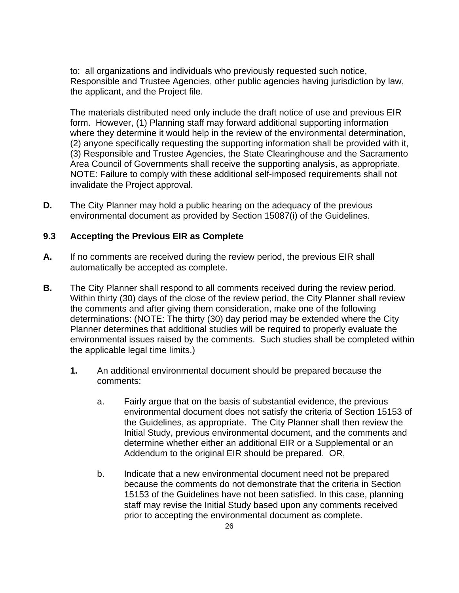<span id="page-25-0"></span>to: all organizations and individuals who previously requested such notice, Responsible and Trustee Agencies, other public agencies having jurisdiction by law, the applicant, and the Project file.

The materials distributed need only include the draft notice of use and previous EIR form. However, (1) Planning staff may forward additional supporting information where they determine it would help in the review of the environmental determination, (2) anyone specifically requesting the supporting information shall be provided with it, (3) Responsible and Trustee Agencies, the State Clearinghouse and the Sacramento Area Council of Governments shall receive the supporting analysis, as appropriate. NOTE: Failure to comply with these additional self-imposed requirements shall not invalidate the Project approval.

**D.** The City Planner may hold a public hearing on the adequacy of the previous environmental document as provided by Section 15087(i) of the Guidelines.

#### **9.3 Accepting the Previous EIR as Complete**

- **A.** If no comments are received during the review period, the previous EIR shall automatically be accepted as complete.
- **B.** The City Planner shall respond to all comments received during the review period. Within thirty (30) days of the close of the review period, the City Planner shall review the comments and after giving them consideration, make one of the following determinations: (NOTE: The thirty (30) day period may be extended where the City Planner determines that additional studies will be required to properly evaluate the environmental issues raised by the comments. Such studies shall be completed within the applicable legal time limits.)
	- **1.** An additional environmental document should be prepared because the comments:
		- a. Fairly argue that on the basis of substantial evidence, the previous environmental document does not satisfy the criteria of Section 15153 of the Guidelines, as appropriate. The City Planner shall then review the Initial Study, previous environmental document, and the comments and determine whether either an additional EIR or a Supplemental or an Addendum to the original EIR should be prepared. OR,
		- b. Indicate that a new environmental document need not be prepared because the comments do not demonstrate that the criteria in Section 15153 of the Guidelines have not been satisfied. In this case, planning staff may revise the Initial Study based upon any comments received prior to accepting the environmental document as complete.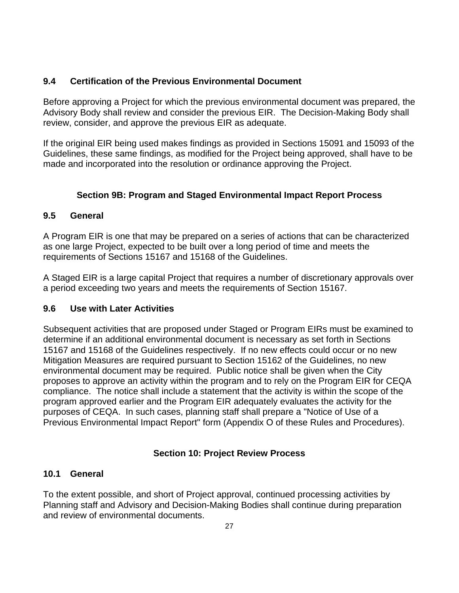#### <span id="page-26-0"></span>**9.4 Certification of the Previous Environmental Document**

Before approving a Project for which the previous environmental document was prepared, the Advisory Body shall review and consider the previous EIR. The Decision-Making Body shall review, consider, and approve the previous EIR as adequate.

If the original EIR being used makes findings as provided in Sections 15091 and 15093 of the Guidelines, these same findings, as modified for the Project being approved, shall have to be made and incorporated into the resolution or ordinance approving the Project.

## **Section 9B: Program and Staged Environmental Impact Report Process**

#### **9.5 General**

A Program EIR is one that may be prepared on a series of actions that can be characterized as one large Project, expected to be built over a long period of time and meets the requirements of Sections 15167 and 15168 of the Guidelines.

A Staged EIR is a large capital Project that requires a number of discretionary approvals over a period exceeding two years and meets the requirements of Section 15167.

## **9.6 Use with Later Activities**

Subsequent activities that are proposed under Staged or Program EIRs must be examined to determine if an additional environmental document is necessary as set forth in Sections 15167 and 15168 of the Guidelines respectively. If no new effects could occur or no new Mitigation Measures are required pursuant to Section 15162 of the Guidelines, no new environmental document may be required. Public notice shall be given when the City proposes to approve an activity within the program and to rely on the Program EIR for CEQA compliance. The notice shall include a statement that the activity is within the scope of the program approved earlier and the Program EIR adequately evaluates the activity for the purposes of CEQA. In such cases, planning staff shall prepare a "Notice of Use of a Previous Environmental Impact Report" form (Appendix O of these Rules and Procedures).

## **Section 10: Project Review Process**

## **10.1 General**

To the extent possible, and short of Project approval, continued processing activities by Planning staff and Advisory and Decision-Making Bodies shall continue during preparation and review of environmental documents.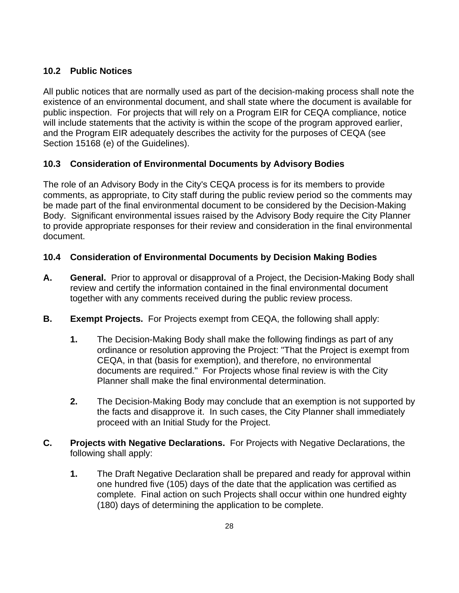## <span id="page-27-0"></span>**10.2 Public Notices**

All public notices that are normally used as part of the decision-making process shall note the existence of an environmental document, and shall state where the document is available for public inspection. For projects that will rely on a Program EIR for CEQA compliance, notice will include statements that the activity is within the scope of the program approved earlier, and the Program EIR adequately describes the activity for the purposes of CEQA (see Section 15168 (e) of the Guidelines).

#### **10.3 Consideration of Environmental Documents by Advisory Bodies**

The role of an Advisory Body in the City's CEQA process is for its members to provide comments, as appropriate, to City staff during the public review period so the comments may be made part of the final environmental document to be considered by the Decision-Making Body. Significant environmental issues raised by the Advisory Body require the City Planner to provide appropriate responses for their review and consideration in the final environmental document.

#### **10.4 Consideration of Environmental Documents by Decision Making Bodies**

- **A. General.** Prior to approval or disapproval of a Project, the Decision-Making Body shall review and certify the information contained in the final environmental document together with any comments received during the public review process.
- **B. Exempt Projects.** For Projects exempt from CEQA, the following shall apply:
	- **1.** The Decision-Making Body shall make the following findings as part of any ordinance or resolution approving the Project: "That the Project is exempt from CEQA, in that (basis for exemption), and therefore, no environmental documents are required." For Projects whose final review is with the City Planner shall make the final environmental determination.
	- **2.** The Decision-Making Body may conclude that an exemption is not supported by the facts and disapprove it. In such cases, the City Planner shall immediately proceed with an Initial Study for the Project.
- **C. Projects with Negative Declarations.** For Projects with Negative Declarations, the following shall apply:
	- **1.** The Draft Negative Declaration shall be prepared and ready for approval within one hundred five (105) days of the date that the application was certified as complete. Final action on such Projects shall occur within one hundred eighty (180) days of determining the application to be complete.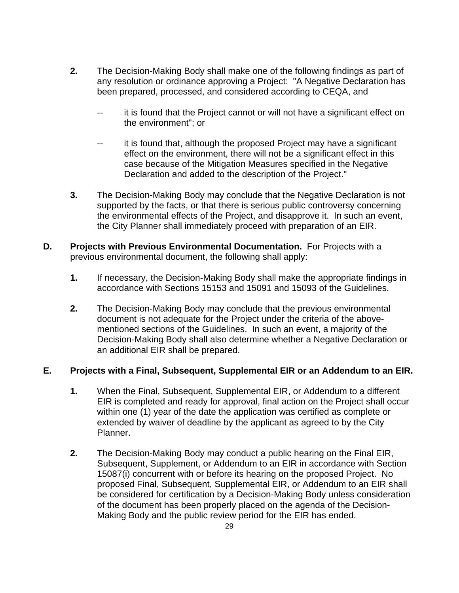- **2.** The Decision-Making Body shall make one of the following findings as part of any resolution or ordinance approving a Project: "A Negative Declaration has been prepared, processed, and considered according to CEQA, and
	- -- it is found that the Project cannot or will not have a significant effect on the environment"; or
	- -- it is found that, although the proposed Project may have a significant effect on the environment, there will not be a significant effect in this case because of the Mitigation Measures specified in the Negative Declaration and added to the description of the Project."
- **3.** The Decision-Making Body may conclude that the Negative Declaration is not supported by the facts, or that there is serious public controversy concerning the environmental effects of the Project, and disapprove it. In such an event, the City Planner shall immediately proceed with preparation of an EIR.
- **D. Projects with Previous Environmental Documentation.** For Projects with a previous environmental document, the following shall apply:
	- **1.** If necessary, the Decision-Making Body shall make the appropriate findings in accordance with Sections 15153 and 15091 and 15093 of the Guidelines.
	- **2.** The Decision-Making Body may conclude that the previous environmental document is not adequate for the Project under the criteria of the abovementioned sections of the Guidelines. In such an event, a majority of the Decision-Making Body shall also determine whether a Negative Declaration or an additional EIR shall be prepared.

#### **E. Projects with a Final, Subsequent, Supplemental EIR or an Addendum to an EIR.**

- **1.** When the Final, Subsequent, Supplemental EIR, or Addendum to a different EIR is completed and ready for approval, final action on the Project shall occur within one (1) year of the date the application was certified as complete or extended by waiver of deadline by the applicant as agreed to by the City Planner.
- **2.** The Decision-Making Body may conduct a public hearing on the Final EIR, Subsequent, Supplement, or Addendum to an EIR in accordance with Section 15087(i) concurrent with or before its hearing on the proposed Project. No proposed Final, Subsequent, Supplemental EIR, or Addendum to an EIR shall be considered for certification by a Decision-Making Body unless consideration of the document has been properly placed on the agenda of the Decision-Making Body and the public review period for the EIR has ended.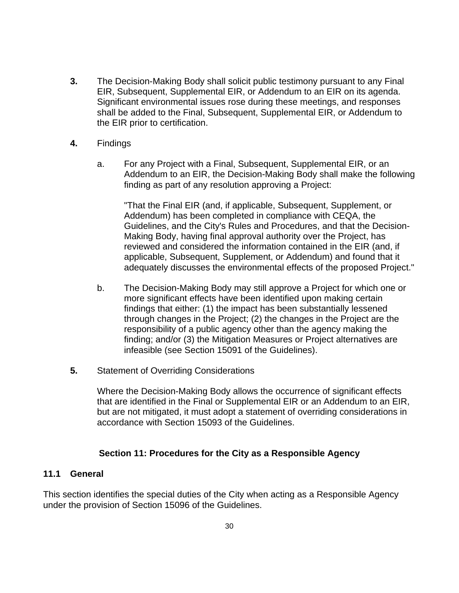- <span id="page-29-0"></span>**3.** The Decision-Making Body shall solicit public testimony pursuant to any Final EIR, Subsequent, Supplemental EIR, or Addendum to an EIR on its agenda. Significant environmental issues rose during these meetings, and responses shall be added to the Final, Subsequent, Supplemental EIR, or Addendum to the EIR prior to certification.
- **4.** Findings
	- a. For any Project with a Final, Subsequent, Supplemental EIR, or an Addendum to an EIR, the Decision-Making Body shall make the following finding as part of any resolution approving a Project:

"That the Final EIR (and, if applicable, Subsequent, Supplement, or Addendum) has been completed in compliance with CEQA, the Guidelines, and the City's Rules and Procedures, and that the Decision-Making Body, having final approval authority over the Project, has reviewed and considered the information contained in the EIR (and, if applicable, Subsequent, Supplement, or Addendum) and found that it adequately discusses the environmental effects of the proposed Project."

- b. The Decision-Making Body may still approve a Project for which one or more significant effects have been identified upon making certain findings that either: (1) the impact has been substantially lessened through changes in the Project; (2) the changes in the Project are the responsibility of a public agency other than the agency making the finding; and/or (3) the Mitigation Measures or Project alternatives are infeasible (see Section 15091 of the Guidelines).
- **5.** Statement of Overriding Considerations

Where the Decision-Making Body allows the occurrence of significant effects that are identified in the Final or Supplemental EIR or an Addendum to an EIR, but are not mitigated, it must adopt a statement of overriding considerations in accordance with Section 15093 of the Guidelines.

#### **Section 11: Procedures for the City as a Responsible Agency**

#### **11.1 General**

This section identifies the special duties of the City when acting as a Responsible Agency under the provision of Section 15096 of the Guidelines.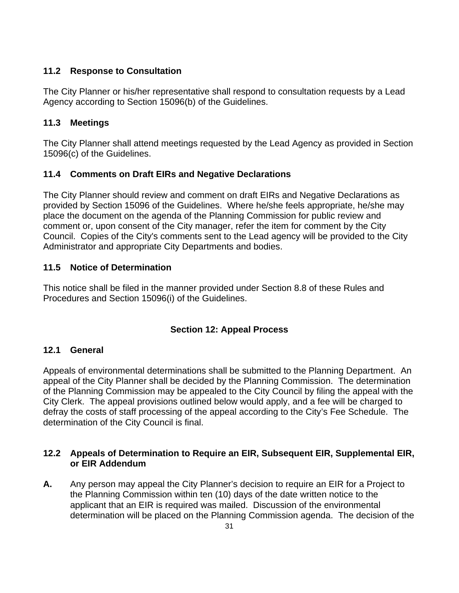## <span id="page-30-0"></span>**11.2 Response to Consultation**

The City Planner or his/her representative shall respond to consultation requests by a Lead Agency according to Section 15096(b) of the Guidelines.

#### **11.3 Meetings**

The City Planner shall attend meetings requested by the Lead Agency as provided in Section 15096(c) of the Guidelines.

#### **11.4 Comments on Draft EIRs and Negative Declarations**

The City Planner should review and comment on draft EIRs and Negative Declarations as provided by Section 15096 of the Guidelines. Where he/she feels appropriate, he/she may place the document on the agenda of the Planning Commission for public review and comment or, upon consent of the City manager, refer the item for comment by the City Council. Copies of the City's comments sent to the Lead agency will be provided to the City Administrator and appropriate City Departments and bodies.

#### **11.5 Notice of Determination**

This notice shall be filed in the manner provided under Section 8.8 of these Rules and Procedures and Section 15096(i) of the Guidelines.

## **Section 12: Appeal Process**

#### **12.1 General**

Appeals of environmental determinations shall be submitted to the Planning Department. An appeal of the City Planner shall be decided by the Planning Commission. The determination of the Planning Commission may be appealed to the City Council by filing the appeal with the City Clerk. The appeal provisions outlined below would apply, and a fee will be charged to defray the costs of staff processing of the appeal according to the City's Fee Schedule. The determination of the City Council is final.

#### **12.2 Appeals of Determination to Require an EIR, Subsequent EIR, Supplemental EIR, or EIR Addendum**

**A.** Any person may appeal the City Planner's decision to require an EIR for a Project to the Planning Commission within ten (10) days of the date written notice to the applicant that an EIR is required was mailed. Discussion of the environmental determination will be placed on the Planning Commission agenda. The decision of the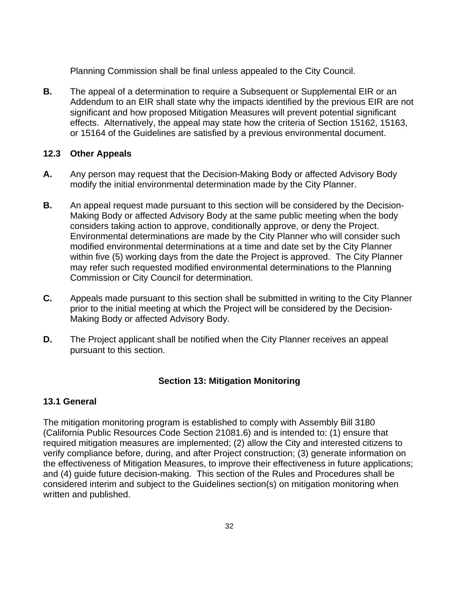<span id="page-31-0"></span>Planning Commission shall be final unless appealed to the City Council.

**B.** The appeal of a determination to require a Subsequent or Supplemental EIR or an Addendum to an EIR shall state why the impacts identified by the previous EIR are not significant and how proposed Mitigation Measures will prevent potential significant effects. Alternatively, the appeal may state how the criteria of Section 15162, 15163, or 15164 of the Guidelines are satisfied by a previous environmental document.

#### **12.3 Other Appeals**

- **A.** Any person may request that the Decision-Making Body or affected Advisory Body modify the initial environmental determination made by the City Planner.
- **B.** An appeal request made pursuant to this section will be considered by the Decision-Making Body or affected Advisory Body at the same public meeting when the body considers taking action to approve, conditionally approve, or deny the Project. Environmental determinations are made by the City Planner who will consider such modified environmental determinations at a time and date set by the City Planner within five (5) working days from the date the Project is approved. The City Planner may refer such requested modified environmental determinations to the Planning Commission or City Council for determination.
- **C.** Appeals made pursuant to this section shall be submitted in writing to the City Planner prior to the initial meeting at which the Project will be considered by the Decision-Making Body or affected Advisory Body.
- **D.** The Project applicant shall be notified when the City Planner receives an appeal pursuant to this section.

## **Section 13: Mitigation Monitoring**

## **13.1 General**

The mitigation monitoring program is established to comply with Assembly Bill 3180 (California Public Resources Code Section 21081.6) and is intended to: (1) ensure that required mitigation measures are implemented; (2) allow the City and interested citizens to verify compliance before, during, and after Project construction; (3) generate information on the effectiveness of Mitigation Measures, to improve their effectiveness in future applications; and (4) guide future decision-making. This section of the Rules and Procedures shall be considered interim and subject to the Guidelines section(s) on mitigation monitoring when written and published.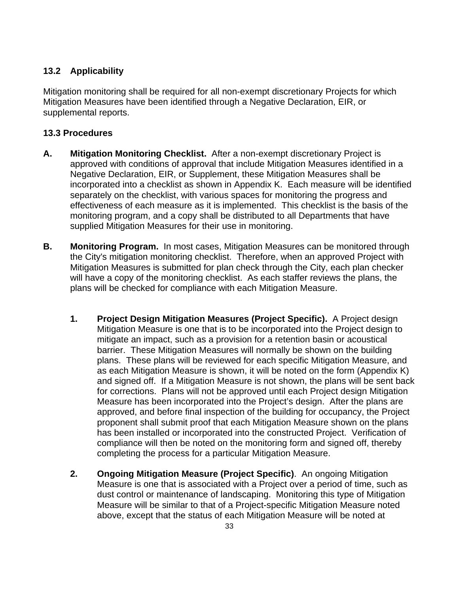## <span id="page-32-0"></span>**13.2 Applicability**

Mitigation monitoring shall be required for all non-exempt discretionary Projects for which Mitigation Measures have been identified through a Negative Declaration, EIR, or supplemental reports.

#### **13.3 Procedures**

- **A. Mitigation Monitoring Checklist.** After a non-exempt discretionary Project is approved with conditions of approval that include Mitigation Measures identified in a Negative Declaration, EIR, or Supplement, these Mitigation Measures shall be incorporated into a checklist as shown in Appendix K. Each measure will be identified separately on the checklist, with various spaces for monitoring the progress and effectiveness of each measure as it is implemented. This checklist is the basis of the monitoring program, and a copy shall be distributed to all Departments that have supplied Mitigation Measures for their use in monitoring.
- **B. Monitoring Program.** In most cases, Mitigation Measures can be monitored through the City's mitigation monitoring checklist. Therefore, when an approved Project with Mitigation Measures is submitted for plan check through the City, each plan checker will have a copy of the monitoring checklist. As each staffer reviews the plans, the plans will be checked for compliance with each Mitigation Measure.
	- **1. Project Design Mitigation Measures (Project Specific).** A Project design Mitigation Measure is one that is to be incorporated into the Project design to mitigate an impact, such as a provision for a retention basin or acoustical barrier. These Mitigation Measures will normally be shown on the building plans. These plans will be reviewed for each specific Mitigation Measure, and as each Mitigation Measure is shown, it will be noted on the form (Appendix K) and signed off. If a Mitigation Measure is not shown, the plans will be sent back for corrections. Plans will not be approved until each Project design Mitigation Measure has been incorporated into the Project's design. After the plans are approved, and before final inspection of the building for occupancy, the Project proponent shall submit proof that each Mitigation Measure shown on the plans has been installed or incorporated into the constructed Project. Verification of compliance will then be noted on the monitoring form and signed off, thereby completing the process for a particular Mitigation Measure.
	- **2. Ongoing Mitigation Measure (Project Specific)**. An ongoing Mitigation Measure is one that is associated with a Project over a period of time, such as dust control or maintenance of landscaping. Monitoring this type of Mitigation Measure will be similar to that of a Project-specific Mitigation Measure noted above, except that the status of each Mitigation Measure will be noted at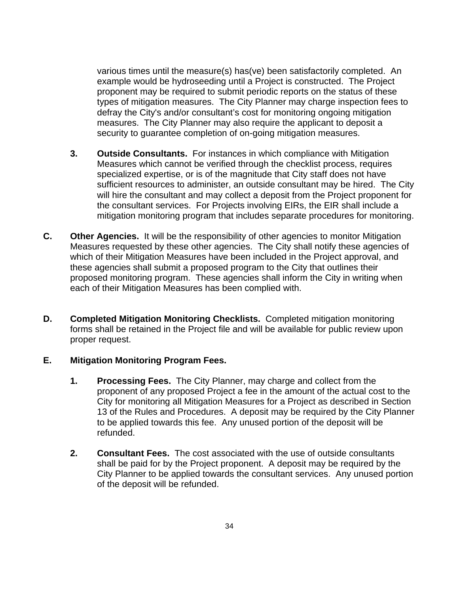various times until the measure(s) has(ve) been satisfactorily completed. An example would be hydroseeding until a Project is constructed. The Project proponent may be required to submit periodic reports on the status of these types of mitigation measures. The City Planner may charge inspection fees to defray the City's and/or consultant's cost for monitoring ongoing mitigation measures. The City Planner may also require the applicant to deposit a security to guarantee completion of on-going mitigation measures.

- **3. Outside Consultants.** For instances in which compliance with Mitigation Measures which cannot be verified through the checklist process, requires specialized expertise, or is of the magnitude that City staff does not have sufficient resources to administer, an outside consultant may be hired. The City will hire the consultant and may collect a deposit from the Project proponent for the consultant services. For Projects involving EIRs, the EIR shall include a mitigation monitoring program that includes separate procedures for monitoring.
- **C. Other Agencies.** It will be the responsibility of other agencies to monitor Mitigation Measures requested by these other agencies. The City shall notify these agencies of which of their Mitigation Measures have been included in the Project approval, and these agencies shall submit a proposed program to the City that outlines their proposed monitoring program. These agencies shall inform the City in writing when each of their Mitigation Measures has been complied with.
- **D. Completed Mitigation Monitoring Checklists.** Completed mitigation monitoring forms shall be retained in the Project file and will be available for public review upon proper request.

#### **E. Mitigation Monitoring Program Fees.**

- **1. Processing Fees.** The City Planner, may charge and collect from the proponent of any proposed Project a fee in the amount of the actual cost to the City for monitoring all Mitigation Measures for a Project as described in Section 13 of the Rules and Procedures. A deposit may be required by the City Planner to be applied towards this fee. Any unused portion of the deposit will be refunded.
- **2. Consultant Fees.** The cost associated with the use of outside consultants shall be paid for by the Project proponent. A deposit may be required by the City Planner to be applied towards the consultant services. Any unused portion of the deposit will be refunded.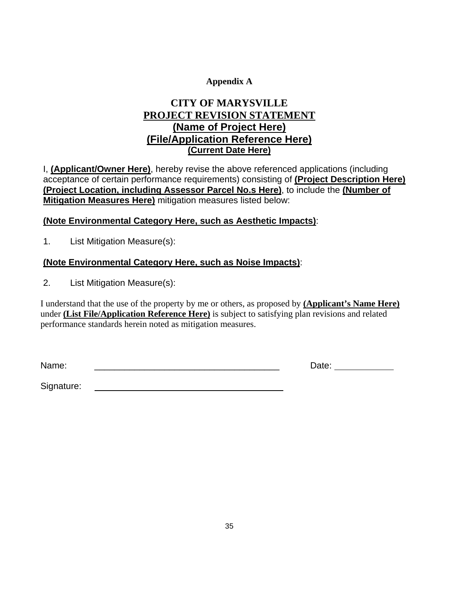#### **Appendix A**

## **CITY OF MARYSVILLE PROJECT REVISION STATEMENT (Name of Project Here) (File/Application Reference Here) (Current Date Here)**

I, **(Applicant/Owner Here)**, hereby revise the above referenced applications (including acceptance of certain performance requirements) consisting of **(Project Description Here) (Project Location, including Assessor Parcel No.s Here)**, to include the **(Number of Mitigation Measures Here)** mitigation measures listed below:

#### **(Note Environmental Category Here, such as Aesthetic Impacts)**:

1. List Mitigation Measure(s):

## **(Note Environmental Category Here, such as Noise Impacts)**:

2. List Mitigation Measure(s):

I understand that the use of the property by me or others, as proposed by **(Applicant's Name Here)** under **(List File/Application Reference Here)** is subject to satisfying plan revisions and related performance standards herein noted as mitigation measures.

Name: \_\_\_\_\_\_\_\_\_\_\_\_\_\_\_\_\_\_\_\_\_\_\_\_\_\_\_\_\_\_\_\_\_\_\_\_\_ Date:

Signature: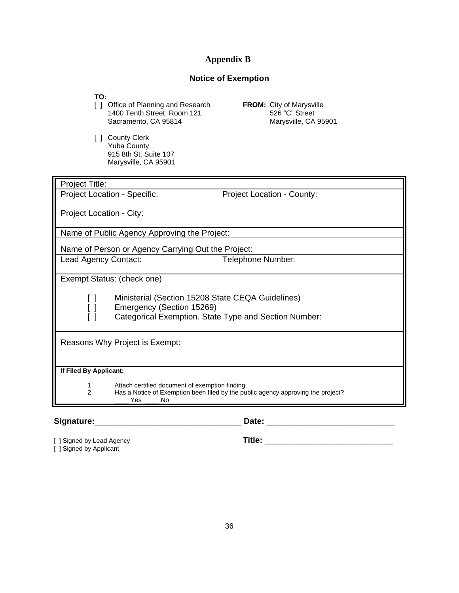#### **Appendix B**

#### **Notice of Exemption**

**TO:** 

- [ ] Office of Planning and Research **FROM:** City of Marysville 1400 Tenth Street, Room 121 526 "C" Street<br>Sacramento, CA 95814 Marysville, CA 95901 Sacramento, CA 95814
- [ ] County Clerk Yuba County 915 8th St. Suite 107 Marysville, CA 95901

| Project Title:                      |                                                              |                                                                                  |  |  |  |  |  |
|-------------------------------------|--------------------------------------------------------------|----------------------------------------------------------------------------------|--|--|--|--|--|
| <b>Project Location - Specific:</b> |                                                              | <b>Project Location - County:</b>                                                |  |  |  |  |  |
|                                     | Project Location - City:                                     |                                                                                  |  |  |  |  |  |
|                                     | Name of Public Agency Approving the Project:                 |                                                                                  |  |  |  |  |  |
|                                     | Name of Person or Agency Carrying Out the Project:           |                                                                                  |  |  |  |  |  |
| Lead Agency Contact:                |                                                              | Telephone Number:                                                                |  |  |  |  |  |
| Exempt Status: (check one)          |                                                              |                                                                                  |  |  |  |  |  |
|                                     |                                                              |                                                                                  |  |  |  |  |  |
|                                     | Ministerial (Section 15208 State CEQA Guidelines)            |                                                                                  |  |  |  |  |  |
|                                     | Emergency (Section 15269)                                    |                                                                                  |  |  |  |  |  |
|                                     |                                                              | Categorical Exemption. State Type and Section Number:                            |  |  |  |  |  |
| Reasons Why Project is Exempt:      |                                                              |                                                                                  |  |  |  |  |  |
| If Filed By Applicant:              |                                                              |                                                                                  |  |  |  |  |  |
| 1.<br>2.                            | Attach certified document of exemption finding.<br>Yes<br>No | Has a Notice of Exemption been filed by the public agency approving the project? |  |  |  |  |  |

**Signature:**\_\_\_\_\_\_\_\_\_\_\_\_\_\_\_\_\_\_\_\_\_\_\_\_\_\_\_\_\_\_\_\_ **Date:** \_\_\_\_\_\_\_\_\_\_\_\_\_\_\_\_\_\_\_\_\_\_\_\_\_\_\_\_

[ ] Signed by Lead Agency **Title:** \_\_\_\_\_\_\_\_\_\_\_\_\_\_\_\_\_\_\_\_\_\_\_\_\_\_\_\_ [ ] Signed by Applicant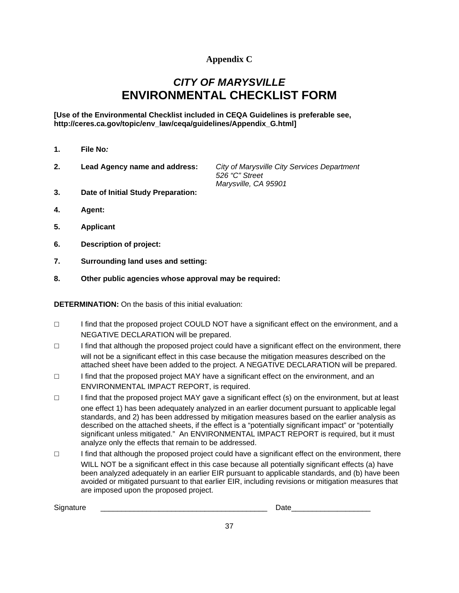#### **Appendix C**

## *CITY OF MARYSVILLE*  **ENVIRONMENTAL CHECKLIST FORM**

**[Use of the Environmental Checklist included in CEQA Guidelines is preferable see, http://ceres.ca.gov/topic/env\_law/ceqa/guidelines/Appendix\_G.html]** 

- **1. File No***:*
- **2. Lead Agency name and address:** *City of Marysville City Services Department*

 *526 "C" Street Marysville, CA 95901*

- **3. Date of Initial Study Preparation:**
- **4. Agent:**
- **5. Applicant**
- **6. Description of project:**
- **7. Surrounding land uses and setting:**
- **8. Other public agencies whose approval may be required:**

**DETERMINATION:** On the basis of this initial evaluation:

- ☐ I find that the proposed project COULD NOT have a significant effect on the environment, and a NEGATIVE DECLARATION will be prepared.
- ☐ I find that although the proposed project could have a significant effect on the environment, there will not be a significant effect in this case because the mitigation measures described on the attached sheet have been added to the project. A NEGATIVE DECLARATION will be prepared.
- ☐ I find that the proposed project MAY have a significant effect on the environment, and an ENVIRONMENTAL IMPACT REPORT, is required.
- ☐ I find that the proposed project MAY gave a significant effect (s) on the environment, but at least one effect 1) has been adequately analyzed in an earlier document pursuant to applicable legal standards, and 2) has been addressed by mitigation measures based on the earlier analysis as described on the attached sheets, if the effect is a "potentially significant impact" or "potentially significant unless mitigated." An ENVIRONMENTAL IMPACT REPORT is required, but it must analyze only the effects that remain to be addressed.
- ☐ I find that although the proposed project could have a significant effect on the environment, there WILL NOT be a significant effect in this case because all potentially significant effects (a) have been analyzed adequately in an earlier EIR pursuant to applicable standards, and (b) have been avoided or mitigated pursuant to that earlier EIR, including revisions or mitigation measures that are imposed upon the proposed project.

| $\ddot{\phantom{1}}$<br>Sic <sup>-</sup><br>. | . .<br>--<br>-- |
|-----------------------------------------------|-----------------|
|                                               |                 |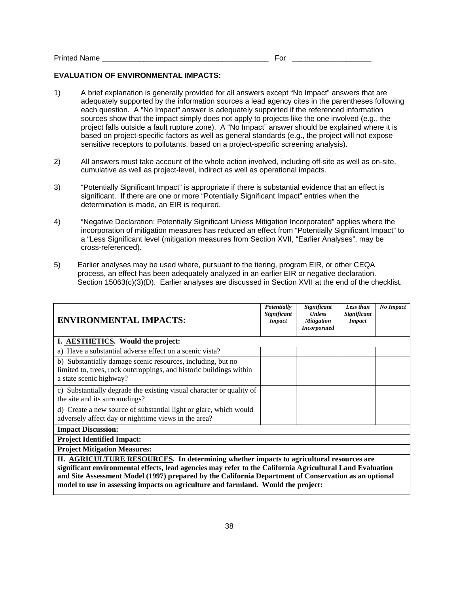#### Printed Name **Example 2** and the set of the set of the set of the set of the set of the set of the set of the set of the set of the set of the set of the set of the set of the set of the set of the set of the set of the se

#### **EVALUATION OF ENVIRONMENTAL IMPACTS:**

- 1) A brief explanation is generally provided for all answers except "No Impact" answers that are adequately supported by the information sources a lead agency cites in the parentheses following each question. A "No Impact" answer is adequately supported if the referenced information sources show that the impact simply does not apply to projects like the one involved (e.g., the project falls outside a fault rupture zone). A "No Impact" answer should be explained where it is based on project-specific factors as well as general standards (e.g., the project will not expose sensitive receptors to pollutants, based on a project-specific screening analysis).
- 2) All answers must take account of the whole action involved, including off-site as well as on-site, cumulative as well as project-level, indirect as well as operational impacts.
- 3) "Potentially Significant Impact" is appropriate if there is substantial evidence that an effect is significant. If there are one or more "Potentially Significant Impact" entries when the determination is made, an EIR is required.
- 4) "Negative Declaration: Potentially Significant Unless Mitigation Incorporated" applies where the incorporation of mitigation measures has reduced an effect from "Potentially Significant Impact" to a "Less Significant level (mitigation measures from Section XVII, "Earlier Analyses", may be cross-referenced).
- 5) Earlier analyses may be used where, pursuant to the tiering, program EIR, or other CEQA process, an effect has been adequately analyzed in an earlier EIR or negative declaration. Section 15063(c)(3)(D). Earlier analyses are discussed in Section XVII at the end of the checklist.

| <b>ENVIRONMENTAL IMPACTS:</b>                                                                                                                                                                                                                                                                                                                                                                      | Potentially<br>Significant<br><b>Impact</b> | Significant<br><b>Unless</b><br><b>Mitigation</b><br><b>Incorporated</b> | Less than<br>Significant<br><b>Impact</b> | No Impact |
|----------------------------------------------------------------------------------------------------------------------------------------------------------------------------------------------------------------------------------------------------------------------------------------------------------------------------------------------------------------------------------------------------|---------------------------------------------|--------------------------------------------------------------------------|-------------------------------------------|-----------|
| I. AESTHETICS. Would the project:                                                                                                                                                                                                                                                                                                                                                                  |                                             |                                                                          |                                           |           |
| a) Have a substantial adverse effect on a scenic vista?                                                                                                                                                                                                                                                                                                                                            |                                             |                                                                          |                                           |           |
| b) Substantially damage scenic resources, including, but no<br>limited to, trees, rock outcroppings, and historic buildings within<br>a state scenic highway?                                                                                                                                                                                                                                      |                                             |                                                                          |                                           |           |
| c) Substantially degrade the existing visual character or quality of<br>the site and its surroundings?                                                                                                                                                                                                                                                                                             |                                             |                                                                          |                                           |           |
| d) Create a new source of substantial light or glare, which would<br>adversely affect day or nighttime views in the area?                                                                                                                                                                                                                                                                          |                                             |                                                                          |                                           |           |
| <b>Impact Discussion:</b>                                                                                                                                                                                                                                                                                                                                                                          |                                             |                                                                          |                                           |           |
| <b>Project Identified Impact:</b>                                                                                                                                                                                                                                                                                                                                                                  |                                             |                                                                          |                                           |           |
| <b>Project Mitigation Measures:</b>                                                                                                                                                                                                                                                                                                                                                                |                                             |                                                                          |                                           |           |
| II. AGRICULTURE RESOURCES. In determining whether impacts to agricultural resources are<br>significant environmental effects, lead agencies may refer to the California Agricultural Land Evaluation<br>and Site Assessment Model (1997) prepared by the California Department of Conservation as an optional<br>model to use in assessing impacts on agriculture and farmland. Would the project: |                                             |                                                                          |                                           |           |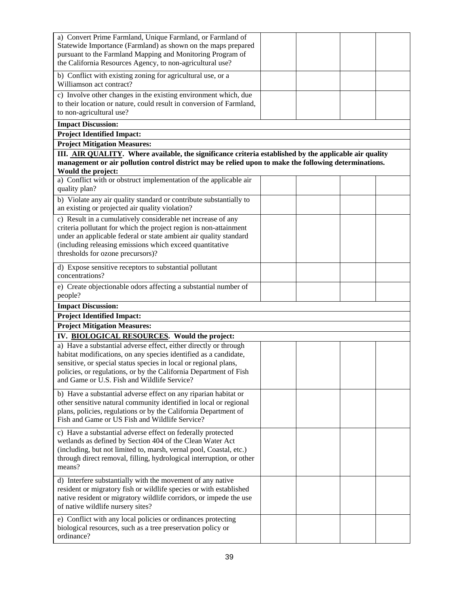| a) Convert Prime Farmland, Unique Farmland, or Farmland of<br>Statewide Importance (Farmland) as shown on the maps prepared<br>pursuant to the Farmland Mapping and Monitoring Program of<br>the California Resources Agency, to non-agricultural use?                                                                       |  |  |
|------------------------------------------------------------------------------------------------------------------------------------------------------------------------------------------------------------------------------------------------------------------------------------------------------------------------------|--|--|
| b) Conflict with existing zoning for agricultural use, or a<br>Williamson act contract?                                                                                                                                                                                                                                      |  |  |
| c) Involve other changes in the existing environment which, due<br>to their location or nature, could result in conversion of Farmland,<br>to non-agricultural use?                                                                                                                                                          |  |  |
| <b>Impact Discussion:</b>                                                                                                                                                                                                                                                                                                    |  |  |
| <b>Project Identified Impact:</b>                                                                                                                                                                                                                                                                                            |  |  |
| <b>Project Mitigation Measures:</b><br>III. AIR QUALITY. Where available, the significance criteria established by the applicable air quality<br>management or air pollution control district may be relied upon to make the following determinations.<br>Would the project:                                                 |  |  |
| a) Conflict with or obstruct implementation of the applicable air<br>quality plan?                                                                                                                                                                                                                                           |  |  |
| b) Violate any air quality standard or contribute substantially to<br>an existing or projected air quality violation?                                                                                                                                                                                                        |  |  |
| c) Result in a cumulatively considerable net increase of any<br>criteria pollutant for which the project region is non-attainment<br>under an applicable federal or state ambient air quality standard<br>(including releasing emissions which exceed quantitative<br>thresholds for ozone precursors)?                      |  |  |
| d) Expose sensitive receptors to substantial pollutant<br>concentrations?                                                                                                                                                                                                                                                    |  |  |
| e) Create objectionable odors affecting a substantial number of<br>people?                                                                                                                                                                                                                                                   |  |  |
| <b>Impact Discussion:</b>                                                                                                                                                                                                                                                                                                    |  |  |
| <b>Project Identified Impact:</b>                                                                                                                                                                                                                                                                                            |  |  |
| <b>Project Mitigation Measures:</b>                                                                                                                                                                                                                                                                                          |  |  |
| IV. BIOLOGICAL RESOURCES. Would the project:                                                                                                                                                                                                                                                                                 |  |  |
| a) Have a substantial adverse effect, either directly or through<br>habitat modifications, on any species identified as a candidate,<br>sensitive, or special status species in local or regional plans,<br>policies, or regulations, or by the California Department of Fish<br>and Game or U.S. Fish and Wildlife Service? |  |  |
| b) Have a substantial adverse effect on any riparian habitat or<br>other sensitive natural community identified in local or regional<br>plans, policies, regulations or by the California Department of<br>Fish and Game or US Fish and Wildlife Service?                                                                    |  |  |
| c) Have a substantial adverse effect on federally protected<br>wetlands as defined by Section 404 of the Clean Water Act<br>(including, but not limited to, marsh, vernal pool, Coastal, etc.)<br>through direct removal, filling, hydrological interruption, or other<br>means?                                             |  |  |
| d) Interfere substantially with the movement of any native<br>resident or migratory fish or wildlife species or with established<br>native resident or migratory wildlife corridors, or impede the use<br>of native wildlife nursery sites?                                                                                  |  |  |
| e) Conflict with any local policies or ordinances protecting<br>biological resources, such as a tree preservation policy or<br>ordinance?                                                                                                                                                                                    |  |  |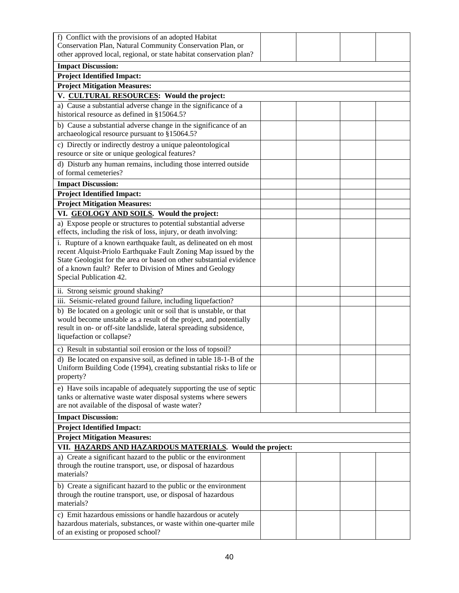| f) Conflict with the provisions of an adopted Habitat<br>Conservation Plan, Natural Community Conservation Plan, or<br>other approved local, regional, or state habitat conservation plan?                                                 |  |  |
|--------------------------------------------------------------------------------------------------------------------------------------------------------------------------------------------------------------------------------------------|--|--|
| <b>Impact Discussion:</b>                                                                                                                                                                                                                  |  |  |
| <b>Project Identified Impact:</b>                                                                                                                                                                                                          |  |  |
| <b>Project Mitigation Measures:</b>                                                                                                                                                                                                        |  |  |
| V. CULTURAL RESOURCES: Would the project:                                                                                                                                                                                                  |  |  |
| a) Cause a substantial adverse change in the significance of a<br>historical resource as defined in §15064.5?                                                                                                                              |  |  |
| b) Cause a substantial adverse change in the significance of an<br>archaeological resource pursuant to §15064.5?                                                                                                                           |  |  |
| c) Directly or indirectly destroy a unique paleontological<br>resource or site or unique geological features?                                                                                                                              |  |  |
| d) Disturb any human remains, including those interred outside<br>of formal cemeteries?                                                                                                                                                    |  |  |
| <b>Impact Discussion:</b>                                                                                                                                                                                                                  |  |  |
| <b>Project Identified Impact:</b>                                                                                                                                                                                                          |  |  |
| <b>Project Mitigation Measures:</b>                                                                                                                                                                                                        |  |  |
| VI. GEOLOGY AND SOILS. Would the project:                                                                                                                                                                                                  |  |  |
| a) Expose people or structures to potential substantial adverse<br>effects, including the risk of loss, injury, or death involving:                                                                                                        |  |  |
| i. Rupture of a known earthquake fault, as delineated on eh most<br>recent Alquist-Priolo Earthquake Fault Zoning Map issued by the<br>State Geologist for the area or based on other substantial evidence                                 |  |  |
| of a known fault? Refer to Division of Mines and Geology<br>Special Publication 42.                                                                                                                                                        |  |  |
| ii. Strong seismic ground shaking?                                                                                                                                                                                                         |  |  |
| iii. Seismic-related ground failure, including liquefaction?                                                                                                                                                                               |  |  |
| b) Be located on a geologic unit or soil that is unstable, or that<br>would become unstable as a result of the project, and potentially<br>result in on- or off-site landslide, lateral spreading subsidence,<br>liquefaction or collapse? |  |  |
| c) Result in substantial soil erosion or the loss of topsoil?                                                                                                                                                                              |  |  |
| d) Be located on expansive soil, as defined in table 18-1-B of the<br>Uniform Building Code (1994), creating substantial risks to life or<br>property?                                                                                     |  |  |
| e) Have soils incapable of adequately supporting the use of septic<br>tanks or alternative waste water disposal systems where sewers<br>are not available of the disposal of waste water?                                                  |  |  |
| <b>Impact Discussion:</b>                                                                                                                                                                                                                  |  |  |
| <b>Project Identified Impact:</b>                                                                                                                                                                                                          |  |  |
| <b>Project Mitigation Measures:</b>                                                                                                                                                                                                        |  |  |
| VII. HAZARDS AND HAZARDOUS MATERIALS. Would the project:                                                                                                                                                                                   |  |  |
| a) Create a significant hazard to the public or the environment<br>through the routine transport, use, or disposal of hazardous<br>materials?                                                                                              |  |  |
| b) Create a significant hazard to the public or the environment<br>through the routine transport, use, or disposal of hazardous<br>materials?                                                                                              |  |  |
| c) Emit hazardous emissions or handle hazardous or acutely<br>hazardous materials, substances, or waste within one-quarter mile<br>of an existing or proposed school?                                                                      |  |  |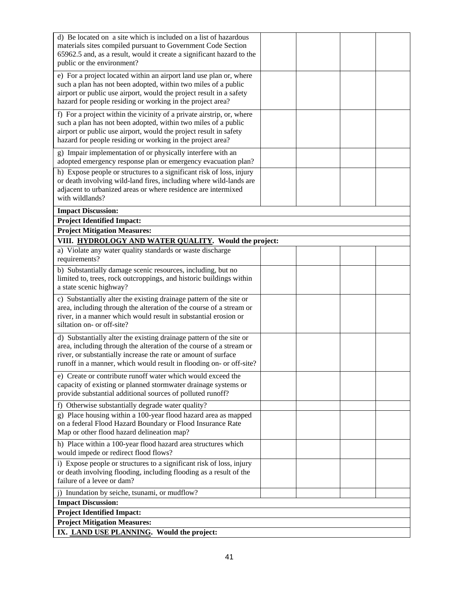| d) Be located on a site which is included on a list of hazardous<br>materials sites compiled pursuant to Government Code Section                                                                                                                                                    |  |  |
|-------------------------------------------------------------------------------------------------------------------------------------------------------------------------------------------------------------------------------------------------------------------------------------|--|--|
| 65962.5 and, as a result, would it create a significant hazard to the<br>public or the environment?                                                                                                                                                                                 |  |  |
| e) For a project located within an airport land use plan or, where<br>such a plan has not been adopted, within two miles of a public<br>airport or public use airport, would the project result in a safety<br>hazard for people residing or working in the project area?           |  |  |
| f) For a project within the vicinity of a private airstrip, or, where<br>such a plan has not been adopted, within two miles of a public<br>airport or public use airport, would the project result in safety<br>hazard for people residing or working in the project area?          |  |  |
| g) Impair implementation of or physically interfere with an<br>adopted emergency response plan or emergency evacuation plan?                                                                                                                                                        |  |  |
| h) Expose people or structures to a significant risk of loss, injury<br>or death involving wild-land fires, including where wild-lands are<br>adjacent to urbanized areas or where residence are intermixed<br>with wildlands?                                                      |  |  |
| <b>Impact Discussion:</b>                                                                                                                                                                                                                                                           |  |  |
| <b>Project Identified Impact:</b>                                                                                                                                                                                                                                                   |  |  |
| <b>Project Mitigation Measures:</b>                                                                                                                                                                                                                                                 |  |  |
| VIII. HYDROLOGY AND WATER QUALITY. Would the project:                                                                                                                                                                                                                               |  |  |
| a) Violate any water quality standards or waste discharge<br>requirements?                                                                                                                                                                                                          |  |  |
| b) Substantially damage scenic resources, including, but no<br>limited to, trees, rock outcroppings, and historic buildings within<br>a state scenic highway?                                                                                                                       |  |  |
| c) Substantially alter the existing drainage pattern of the site or<br>area, including through the alteration of the course of a stream or<br>river, in a manner which would result in substantial erosion or<br>siltation on- or off-site?                                         |  |  |
| d) Substantially alter the existing drainage pattern of the site or<br>area, including through the alteration of the course of a stream or<br>river, or substantially increase the rate or amount of surface<br>runoff in a manner, which would result in flooding on- or off-site? |  |  |
| e) Create or contribute runoff water which would exceed the<br>capacity of existing or planned stormwater drainage systems or<br>provide substantial additional sources of polluted runoff?                                                                                         |  |  |
| Otherwise substantially degrade water quality?<br>f)                                                                                                                                                                                                                                |  |  |
| g) Place housing within a 100-year flood hazard area as mapped<br>on a federal Flood Hazard Boundary or Flood Insurance Rate<br>Map or other flood hazard delineation map?                                                                                                          |  |  |
| h) Place within a 100-year flood hazard area structures which<br>would impede or redirect flood flows?                                                                                                                                                                              |  |  |
| i) Expose people or structures to a significant risk of loss, injury<br>or death involving flooding, including flooding as a result of the<br>failure of a levee or dam?                                                                                                            |  |  |
| j) Inundation by seiche, tsunami, or mudflow?                                                                                                                                                                                                                                       |  |  |
| <b>Impact Discussion:</b>                                                                                                                                                                                                                                                           |  |  |
| <b>Project Identified Impact:</b>                                                                                                                                                                                                                                                   |  |  |
| <b>Project Mitigation Measures:</b>                                                                                                                                                                                                                                                 |  |  |
| IX. LAND USE PLANNING. Would the project:                                                                                                                                                                                                                                           |  |  |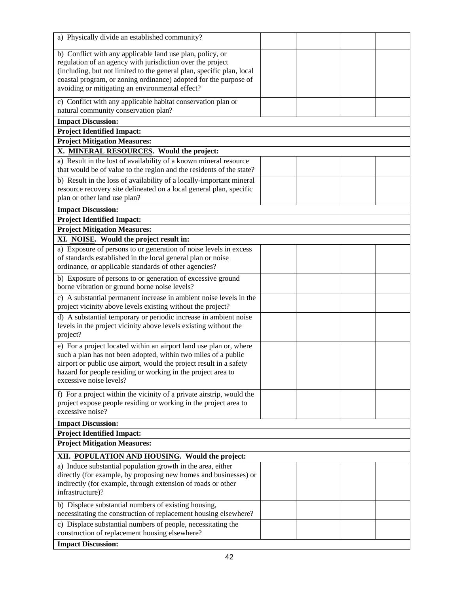| a) Physically divide an established community?                                                                                      |  |  |
|-------------------------------------------------------------------------------------------------------------------------------------|--|--|
| b) Conflict with any applicable land use plan, policy, or                                                                           |  |  |
| regulation of an agency with jurisdiction over the project                                                                          |  |  |
| (including, but not limited to the general plan, specific plan, local                                                               |  |  |
| coastal program, or zoning ordinance) adopted for the purpose of                                                                    |  |  |
| avoiding or mitigating an environmental effect?                                                                                     |  |  |
| c) Conflict with any applicable habitat conservation plan or<br>natural community conservation plan?                                |  |  |
| <b>Impact Discussion:</b>                                                                                                           |  |  |
| <b>Project Identified Impact:</b>                                                                                                   |  |  |
|                                                                                                                                     |  |  |
| <b>Project Mitigation Measures:</b><br>X. MINERAL RESOURCES. Would the project:                                                     |  |  |
| a) Result in the lost of availability of a known mineral resource                                                                   |  |  |
| that would be of value to the region and the residents of the state?                                                                |  |  |
| b) Result in the loss of availability of a locally-important mineral                                                                |  |  |
| resource recovery site delineated on a local general plan, specific                                                                 |  |  |
| plan or other land use plan?                                                                                                        |  |  |
| <b>Impact Discussion:</b>                                                                                                           |  |  |
| <b>Project Identified Impact:</b>                                                                                                   |  |  |
| <b>Project Mitigation Measures:</b>                                                                                                 |  |  |
| XI. NOISE. Would the project result in:                                                                                             |  |  |
| a) Exposure of persons to or generation of noise levels in excess                                                                   |  |  |
| of standards established in the local general plan or noise                                                                         |  |  |
| ordinance, or applicable standards of other agencies?                                                                               |  |  |
| b) Exposure of persons to or generation of excessive ground                                                                         |  |  |
| borne vibration or ground borne noise levels?                                                                                       |  |  |
| c) A substantial permanent increase in ambient noise levels in the<br>project vicinity above levels existing without the project?   |  |  |
| d) A substantial temporary or periodic increase in ambient noise                                                                    |  |  |
| levels in the project vicinity above levels existing without the                                                                    |  |  |
| project?                                                                                                                            |  |  |
| e) For a project located within an airport land use plan or, where                                                                  |  |  |
| such a plan has not been adopted, within two miles of a public                                                                      |  |  |
| airport or public use airport, would the project result in a safety<br>hazard for people residing or working in the project area to |  |  |
| excessive noise levels?                                                                                                             |  |  |
|                                                                                                                                     |  |  |
| f) For a project within the vicinity of a private airstrip, would the                                                               |  |  |
| project expose people residing or working in the project area to<br>excessive noise?                                                |  |  |
|                                                                                                                                     |  |  |
| <b>Impact Discussion:</b>                                                                                                           |  |  |
| <b>Project Identified Impact:</b><br><b>Project Mitigation Measures:</b>                                                            |  |  |
|                                                                                                                                     |  |  |
| XII. POPULATION AND HOUSING. Would the project:                                                                                     |  |  |
| a) Induce substantial population growth in the area, either                                                                         |  |  |
| directly (for example, by proposing new homes and businesses) or<br>indirectly (for example, through extension of roads or other    |  |  |
| infrastructure)?                                                                                                                    |  |  |
|                                                                                                                                     |  |  |
| b) Displace substantial numbers of existing housing,                                                                                |  |  |
| necessitating the construction of replacement housing elsewhere?                                                                    |  |  |
| c) Displace substantial numbers of people, necessitating the<br>construction of replacement housing elsewhere?                      |  |  |
|                                                                                                                                     |  |  |
| <b>Impact Discussion:</b>                                                                                                           |  |  |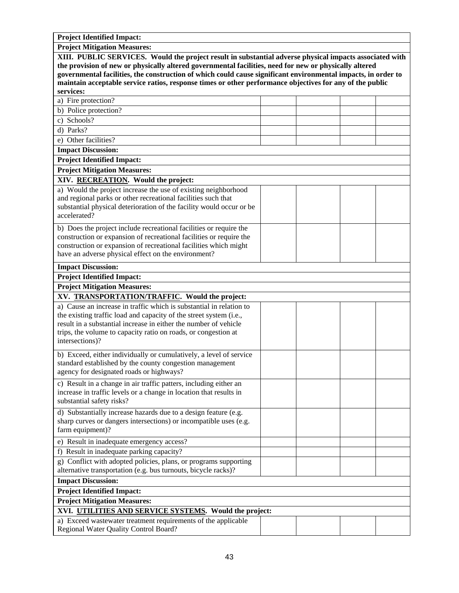| <b>Project Identified Impact:</b>                                                                                                       |  |  |
|-----------------------------------------------------------------------------------------------------------------------------------------|--|--|
| <b>Project Mitigation Measures:</b>                                                                                                     |  |  |
| XIII. PUBLIC SERVICES. Would the project result in substantial adverse physical impacts associated with                                 |  |  |
| the provision of new or physically altered governmental facilities, need for new or physically altered                                  |  |  |
| governmental facilities, the construction of which could cause significant environmental impacts, in order to                           |  |  |
| maintain acceptable service ratios, response times or other performance objectives for any of the public                                |  |  |
| services:                                                                                                                               |  |  |
| a) Fire protection?                                                                                                                     |  |  |
| b) Police protection?                                                                                                                   |  |  |
| c) Schools?                                                                                                                             |  |  |
| d) Parks?                                                                                                                               |  |  |
| Other facilities?                                                                                                                       |  |  |
| <b>Impact Discussion:</b>                                                                                                               |  |  |
| <b>Project Identified Impact:</b>                                                                                                       |  |  |
| <b>Project Mitigation Measures:</b>                                                                                                     |  |  |
| XIV. RECREATION. Would the project:                                                                                                     |  |  |
| a) Would the project increase the use of existing neighborhood                                                                          |  |  |
| and regional parks or other recreational facilities such that                                                                           |  |  |
| substantial physical deterioration of the facility would occur or be                                                                    |  |  |
| accelerated?                                                                                                                            |  |  |
| b) Does the project include recreational facilities or require the                                                                      |  |  |
| construction or expansion of recreational facilities or require the                                                                     |  |  |
| construction or expansion of recreational facilities which might                                                                        |  |  |
| have an adverse physical effect on the environment?                                                                                     |  |  |
| <b>Impact Discussion:</b>                                                                                                               |  |  |
| <b>Project Identified Impact:</b>                                                                                                       |  |  |
| <b>Project Mitigation Measures:</b>                                                                                                     |  |  |
| XV. TRANSPORTATION/TRAFFIC. Would the project:                                                                                          |  |  |
| a) Cause an increase in traffic which is substantial in relation to                                                                     |  |  |
| the existing traffic load and capacity of the street system (i.e.,                                                                      |  |  |
| result in a substantial increase in either the number of vehicle                                                                        |  |  |
| trips, the volume to capacity ratio on roads, or congestion at                                                                          |  |  |
| intersections)?                                                                                                                         |  |  |
| b) Exceed, either individually or cumulatively, a level of service                                                                      |  |  |
| standard established by the county congestion management                                                                                |  |  |
| agency for designated roads or highways?                                                                                                |  |  |
|                                                                                                                                         |  |  |
| c) Result in a change in air traffic patters, including either an<br>increase in traffic levels or a change in location that results in |  |  |
| substantial safety risks?                                                                                                               |  |  |
|                                                                                                                                         |  |  |
| d) Substantially increase hazards due to a design feature (e.g.                                                                         |  |  |
| sharp curves or dangers intersections) or incompatible uses (e.g.<br>farm equipment)?                                                   |  |  |
|                                                                                                                                         |  |  |
| e) Result in inadequate emergency access?                                                                                               |  |  |
| f) Result in inadequate parking capacity?                                                                                               |  |  |
| g) Conflict with adopted policies, plans, or programs supporting                                                                        |  |  |
| alternative transportation (e.g. bus turnouts, bicycle racks)?                                                                          |  |  |
| <b>Impact Discussion:</b>                                                                                                               |  |  |
| <b>Project Identified Impact:</b>                                                                                                       |  |  |
| <b>Project Mitigation Measures:</b>                                                                                                     |  |  |
| XVI. UTILITIES AND SERVICE SYSTEMS. Would the project:                                                                                  |  |  |
| a) Exceed wastewater treatment requirements of the applicable                                                                           |  |  |
| Regional Water Quality Control Board?                                                                                                   |  |  |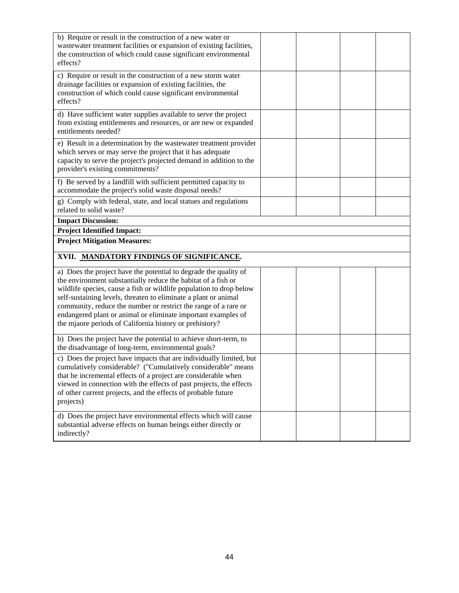| b) Require or result in the construction of a new water or<br>wastewater treatment facilities or expansion of existing facilities,<br>the construction of which could cause significant environmental<br>effects?                                                                                                                                                                                                                                                          |  |  |
|----------------------------------------------------------------------------------------------------------------------------------------------------------------------------------------------------------------------------------------------------------------------------------------------------------------------------------------------------------------------------------------------------------------------------------------------------------------------------|--|--|
| c) Require or result in the construction of a new storm water<br>drainage facilities or expansion of existing facilities, the<br>construction of which could cause significant environmental<br>effects?                                                                                                                                                                                                                                                                   |  |  |
| d) Have sufficient water supplies available to serve the project<br>from existing entitlements and resources, or are new or expanded<br>entitlements needed?                                                                                                                                                                                                                                                                                                               |  |  |
| e) Result in a determination by the wastewater treatment provider<br>which serves or may serve the project that it has adequate<br>capacity to serve the project's projected demand in addition to the<br>provider's existing commitments?                                                                                                                                                                                                                                 |  |  |
| f) Be served by a landfill with sufficient permitted capacity to<br>accommodate the project's solid waste disposal needs?                                                                                                                                                                                                                                                                                                                                                  |  |  |
| g) Comply with federal, state, and local statues and regulations<br>related to solid waste?                                                                                                                                                                                                                                                                                                                                                                                |  |  |
| <b>Impact Discussion:</b>                                                                                                                                                                                                                                                                                                                                                                                                                                                  |  |  |
| <b>Project Identified Impact:</b><br><b>Project Mitigation Measures:</b>                                                                                                                                                                                                                                                                                                                                                                                                   |  |  |
| XVII. MANDATORY FINDINGS OF SIGNIFICANCE.                                                                                                                                                                                                                                                                                                                                                                                                                                  |  |  |
| a) Does the project have the potential to degrade the quality of<br>the environment substantially reduce the habitat of a fish or<br>wildlife species, cause a fish or wildlife population to drop below<br>self-sustaining levels, threaten to eliminate a plant or animal<br>community, reduce the number or restrict the range of a rare or<br>endangered plant or animal or eliminate important examples of<br>the mjaore periods of California history or prehistory? |  |  |
|                                                                                                                                                                                                                                                                                                                                                                                                                                                                            |  |  |
| b) Does the project have the potential to achieve short-term, to<br>the disadvantage of long-term, environmental goals?                                                                                                                                                                                                                                                                                                                                                    |  |  |
| c) Does the project have impacts that are individually limited, but<br>cumulatively considerable? ("Cumulatively considerable" means<br>that he incremental effects of a project are considerable when<br>viewed in connection with the effects of past projects, the effects<br>of other current projects, and the effects of probable future<br>projects)                                                                                                                |  |  |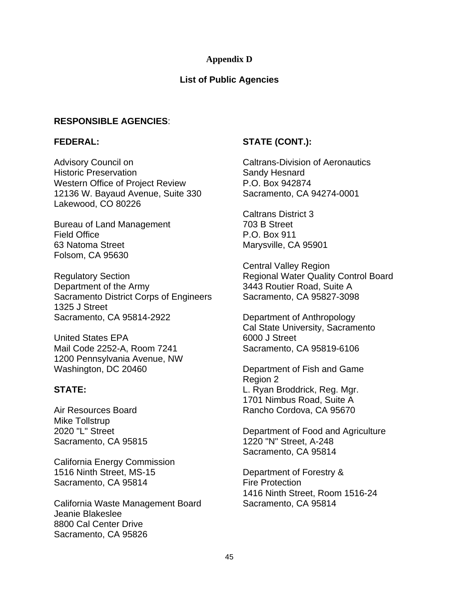#### **Appendix D**

#### **List of Public Agencies**

#### **RESPONSIBLE AGENCIES**:

#### **FEDERAL:**

Advisory Council on Historic Preservation Western Office of Project Review 12136 W. Bayaud Avenue, Suite 330 Lakewood, CO 80226

Bureau of Land Management Field Office 63 Natoma Street Folsom, CA 95630

Regulatory Section Department of the Army Sacramento District Corps of Engineers 1325 J Street Sacramento, CA 95814-2922

United States EPA Mail Code 2252-A, Room 7241 1200 Pennsylvania Avenue, NW Washington, DC 20460

#### **STATE:**

Air Resources Board Mike Tollstrup 2020 "L" Street Sacramento, CA 95815

California Energy Commission 1516 Ninth Street, MS-15 Sacramento, CA 95814

California Waste Management Board Jeanie Blakeslee 8800 Cal Center Drive Sacramento, CA 95826

#### **STATE (CONT.):**

Caltrans-Division of Aeronautics Sandy Hesnard P.O. Box 942874 Sacramento, CA 94274-0001

Caltrans District 3 703 B Street P.O. Box 911 Marysville, CA 95901

Central Valley Region Regional Water Quality Control Board 3443 Routier Road, Suite A Sacramento, CA 95827-3098

Department of Anthropology Cal State University, Sacramento 6000 J Street Sacramento, CA 95819-6106

Department of Fish and Game Region 2 L. Ryan Broddrick, Reg. Mgr. 1701 Nimbus Road, Suite A Rancho Cordova, CA 95670

Department of Food and Agriculture 1220 "N" Street, A-248 Sacramento, CA 95814

Department of Forestry & Fire Protection 1416 Ninth Street, Room 1516-24 Sacramento, CA 95814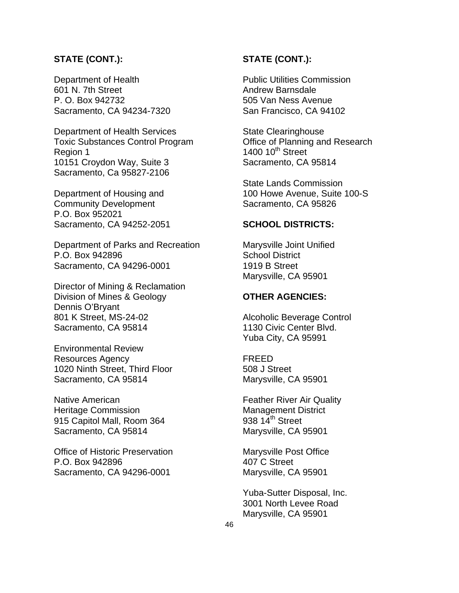#### **STATE (CONT.):**

Department of Health 601 N. 7th Street P. O. Box 942732 Sacramento, CA 94234-7320

Department of Health Services Toxic Substances Control Program Region 1 10151 Croydon Way, Suite 3 Sacramento, Ca 95827-2106

Department of Housing and Community Development P.O. Box 952021 Sacramento, CA 94252-2051

Department of Parks and Recreation P.O. Box 942896 Sacramento, CA 94296-0001

Director of Mining & Reclamation Division of Mines & Geology Dennis O'Bryant 801 K Street, MS-24-02 Sacramento, CA 95814

Environmental Review Resources Agency 1020 Ninth Street, Third Floor Sacramento, CA 95814

Native American Heritage Commission 915 Capitol Mall, Room 364 Sacramento, CA 95814

Office of Historic Preservation P.O. Box 942896 Sacramento, CA 94296-0001

#### **STATE (CONT.):**

Public Utilities Commission Andrew Barnsdale 505 Van Ness Avenue San Francisco, CA 94102

State Clearinghouse Office of Planning and Research 1400  $10^{th}$  Street Sacramento, CA 95814

State Lands Commission 100 Howe Avenue, Suite 100-S Sacramento, CA 95826

#### **SCHOOL DISTRICTS:**

Marysville Joint Unified School District 1919 B Street Marysville, CA 95901

#### **OTHER AGENCIES:**

Alcoholic Beverage Control 1130 Civic Center Blvd. Yuba City, CA 95991

FREED 508 J Street Marysville, CA 95901

Feather River Air Quality Management District 938  $14<sup>th</sup>$  Street Marysville, CA 95901

Marysville Post Office 407 C Street Marysville, CA 95901

Yuba-Sutter Disposal, Inc. 3001 North Levee Road Marysville, CA 95901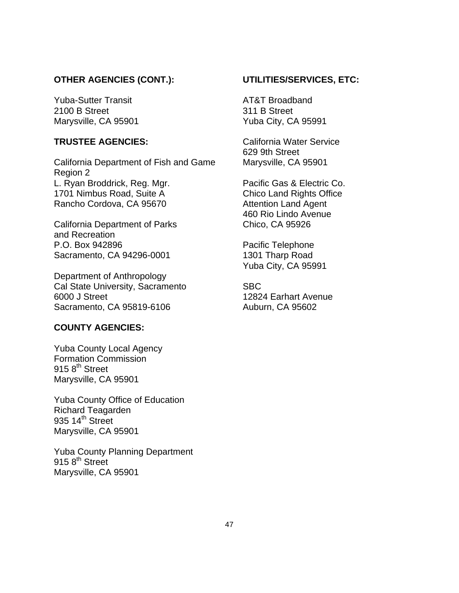#### **OTHER AGENCIES (CONT.):**

Yuba-Sutter Transit 2100 B Street Marysville, CA 95901

#### **TRUSTEE AGENCIES:**

California Department of Fish and Game Region 2 L. Ryan Broddrick, Reg. Mgr. 1701 Nimbus Road, Suite A Rancho Cordova, CA 95670

California Department of Parks and Recreation P.O. Box 942896 Sacramento, CA 94296-0001

Department of Anthropology Cal State University, Sacramento 6000 J Street Sacramento, CA 95819-6106

#### **COUNTY AGENCIES:**

Yuba County Local Agency Formation Commission  $915<sup>th</sup>$  Street Marysville, CA 95901

Yuba County Office of Education Richard Teagarden  $935$  14<sup>th</sup> Street Marysville, CA 95901

Yuba County Planning Department  $915.8<sup>th</sup>$  Street Marysville, CA 95901

#### **UTILITIES/SERVICES, ETC:**

AT&T Broadband 311 B Street Yuba City, CA 95991

California Water Service 629 9th Street Marysville, CA 95901

Pacific Gas & Electric Co. Chico Land Rights Office Attention Land Agent 460 Rio Lindo Avenue Chico, CA 95926

Pacific Telephone 1301 Tharp Road Yuba City, CA 95991

SBC 12824 Earhart Avenue Auburn, CA 95602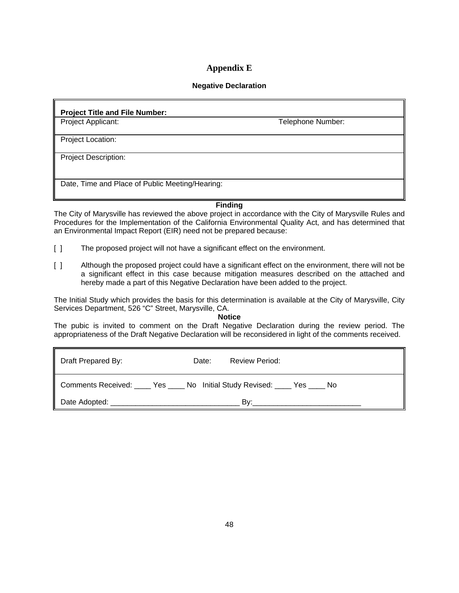#### **Appendix E**

#### **Negative Declaration**

#### **Project Title and File Number:**

Project Applicant: Telephone Number:

Project Location:

Project Description:

Date, Time and Place of Public Meeting/Hearing:

**Finding**

The City of Marysville has reviewed the above project in accordance with the City of Marysville Rules and Procedures for the Implementation of the California Environmental Quality Act, and has determined that an Environmental Impact Report (EIR) need not be prepared because:

- [ ] The proposed project will not have a significant effect on the environment.
- [ ] Although the proposed project could have a significant effect on the environment, there will not be a significant effect in this case because mitigation measures described on the attached and hereby made a part of this Negative Declaration have been added to the project.

The Initial Study which provides the basis for this determination is available at the City of Marysville, City Services Department, 526 "C" Street, Marysville, CA.

#### **Notice**

The pubic is invited to comment on the Draft Negative Declaration during the review period. The appropriateness of the Draft Negative Declaration will be reconsidered in light of the comments received.

| Draft Prepared By: | Date: | <b>Review Period:</b> |  |
|--------------------|-------|-----------------------|--|
|                    |       |                       |  |
|                    |       | Bv:                   |  |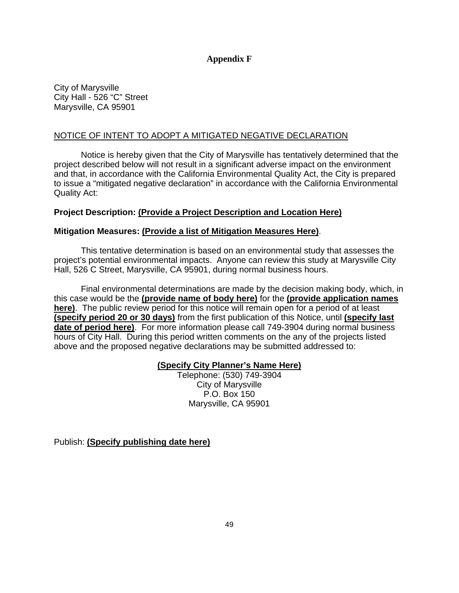#### **Appendix F**

City of Marysville City Hall - 526 "C" Street Marysville, CA 95901

#### NOTICE OF INTENT TO ADOPT A MITIGATED NEGATIVE DECLARATION

 Notice is hereby given that the City of Marysville has tentatively determined that the project described below will not result in a significant adverse impact on the environment and that, in accordance with the California Environmental Quality Act, the City is prepared to issue a "mitigated negative declaration" in accordance with the California Environmental Quality Act:

#### **Project Description: (Provide a Project Description and Location Here)**

#### **Mitigation Measures: (Provide a list of Mitigation Measures Here)**.

 This tentative determination is based on an environmental study that assesses the project's potential environmental impacts. Anyone can review this study at Marysville City Hall, 526 C Street, Marysville, CA 95901, during normal business hours.

 Final environmental determinations are made by the decision making body, which, in this case would be the **(provide name of body here)** for the **(provide application names here)**. The public review period for this notice will remain open for a period of at least **(specify period 20 or 30 days)** from the first publication of this Notice, until **(specify last date of period here)**. For more information please call 749-3904 during normal business hours of City Hall. During this period written comments on the any of the projects listed above and the proposed negative declarations may be submitted addressed to:

#### **(Specify City Planner's Name Here)**

Telephone: (530) 749-3904 City of Marysville P.O. Box 150 Marysville, CA 95901

Publish: **(Specify publishing date here)**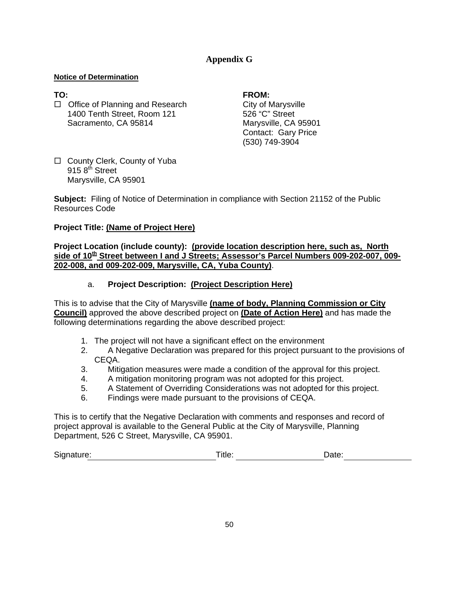#### **Appendix G**

#### **Notice of Determination**

□ Office of Planning and Research City of Marysville 1400 Tenth Street, Room 121 526 "C" Street Sacramento, CA 95814 Marysville, CA 95901

#### **TO: FROM:**

 Contact: Gary Price (530) 749-3904

□ County Clerk, County of Yuba  $915$   $8^{\text{th}}$  Street Marysville, CA 95901

**Subject:**Filing of Notice of Determination in compliance with Section 21152 of the Public Resources Code

#### **Project Title: (Name of Project Here)**

**Project Location (include county): (provide location description here, such as, North side of 10th Street between I and J Streets; Assessor's Parcel Numbers 009-202-007, 009- 202-008, and 009-202-009, Marysville, CA, Yuba County)**.

#### a. **Project Description: (Project Description Here)**

This is to advise that the City of Marysville **(name of body, Planning Commission or City Council)** approved the above described project on **(Date of Action Here)** and has made the following determinations regarding the above described project:

- 1. The project will not have a significant effect on the environment
- 2. A Negative Declaration was prepared for this project pursuant to the provisions of CEQA.
- 3. Mitigation measures were made a condition of the approval for this project.
- 4. A mitigation monitoring program was not adopted for this project.
- 5. A Statement of Overriding Considerations was not adopted for this project.
- 6. Findings were made pursuant to the provisions of CEQA.

This is to certify that the Negative Declaration with comments and responses and record of project approval is available to the General Public at the City of Marysville, Planning Department, 526 C Street, Marysville, CA 95901.

| Signature: | ïtle<br>____ | )ate: |  |
|------------|--------------|-------|--|
|------------|--------------|-------|--|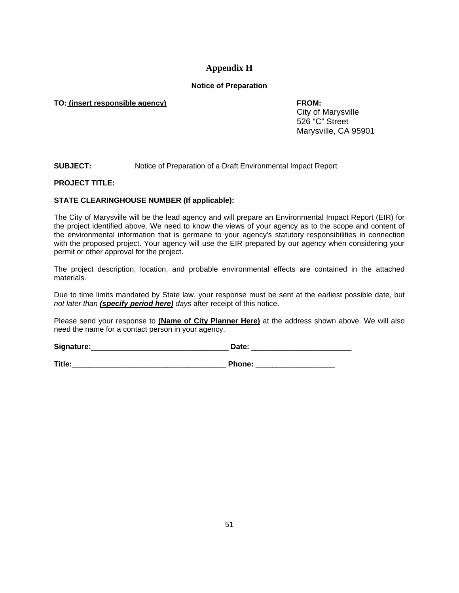#### **Appendix H**

#### **Notice of Preparation**

#### **TO: (insert responsible agency) FROM:**

 City of Marysville 526 "C" Street Marysville, CA 95901

#### **SUBJECT:** Notice of Preparation of a Draft Environmental Impact Report

#### **PROJECT TITLE:**

#### **STATE CLEARINGHOUSE NUMBER (If applicable):**

The City of Marysville will be the lead agency and will prepare an Environmental Impact Report (EIR) for the project identified above. We need to know the views of your agency as to the scope and content of the environmental information that is germane to your agency's statutory responsibilities in connection with the proposed project. Your agency will use the EIR prepared by our agency when considering your permit or other approval for the project.

The project description, location, and probable environmental effects are contained in the attached materials.

Due to time limits mandated by State law, your response must be sent at the earliest possible date, but *not later than (specify period here) days* after receipt of this notice.

Please send your response to **(Name of City Planner Here)** at the address shown above. We will also need the name for a contact person in your agency.

**Signature:**\_\_\_\_\_\_\_\_\_\_\_\_\_\_\_\_\_\_\_\_\_\_\_\_\_\_\_\_\_\_\_\_\_ **Date:** \_\_\_\_\_\_\_\_\_\_\_\_\_\_\_\_\_\_\_\_\_\_\_\_

**Title:**\_\_\_\_\_\_\_\_\_\_\_\_\_\_\_\_\_\_\_\_\_\_\_\_\_\_\_\_\_\_\_\_\_\_\_\_\_ **Phone:** \_\_\_\_\_\_\_\_\_\_\_\_\_\_\_\_\_\_\_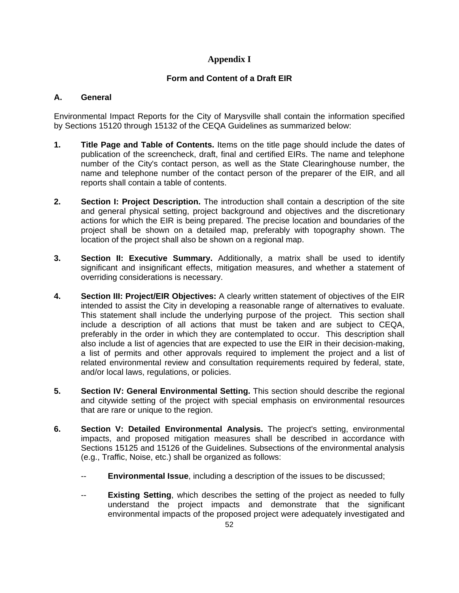#### **Appendix I**

#### **Form and Content of a Draft EIR**

#### **A. General**

Environmental Impact Reports for the City of Marysville shall contain the information specified by Sections 15120 through 15132 of the CEQA Guidelines as summarized below:

- **1. Title Page and Table of Contents.** Items on the title page should include the dates of publication of the screencheck, draft, final and certified EIRs. The name and telephone number of the City's contact person, as well as the State Clearinghouse number, the name and telephone number of the contact person of the preparer of the EIR, and all reports shall contain a table of contents.
- **2. Section I: Project Description.** The introduction shall contain a description of the site and general physical setting, project background and objectives and the discretionary actions for which the EIR is being prepared. The precise location and boundaries of the project shall be shown on a detailed map, preferably with topography shown. The location of the project shall also be shown on a regional map.
- **3. Section II: Executive Summary.** Additionally, a matrix shall be used to identify significant and insignificant effects, mitigation measures, and whether a statement of overriding considerations is necessary.
- **4. Section III: Project/EIR Objectives:** A clearly written statement of objectives of the EIR intended to assist the City in developing a reasonable range of alternatives to evaluate. This statement shall include the underlying purpose of the project. This section shall include a description of all actions that must be taken and are subject to CEQA, preferably in the order in which they are contemplated to occur. This description shall also include a list of agencies that are expected to use the EIR in their decision-making, a list of permits and other approvals required to implement the project and a list of related environmental review and consultation requirements required by federal, state, and/or local laws, regulations, or policies.
- **5. Section IV: General Environmental Setting.** This section should describe the regional and citywide setting of the project with special emphasis on environmental resources that are rare or unique to the region.
- **6. Section V: Detailed Environmental Analysis.** The project's setting, environmental impacts, and proposed mitigation measures shall be described in accordance with Sections 15125 and 15126 of the Guidelines. Subsections of the environmental analysis (e.g., Traffic, Noise, etc.) shall be organized as follows:
	- -- **Environmental Issue**, including a description of the issues to be discussed;
	- -- **Existing Setting**, which describes the setting of the project as needed to fully understand the project impacts and demonstrate that the significant environmental impacts of the proposed project were adequately investigated and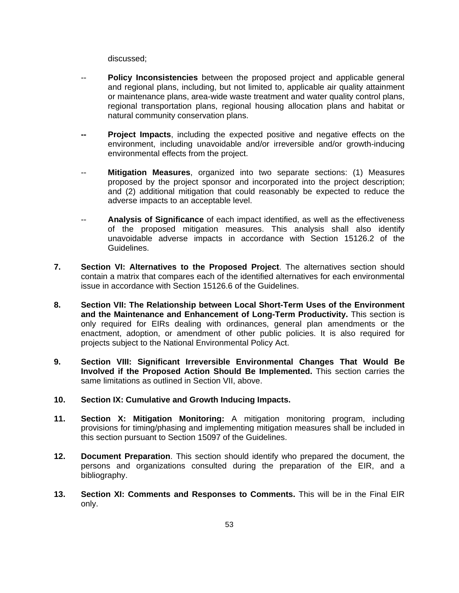discussed;

- -- **Policy Inconsistencies** between the proposed project and applicable general and regional plans, including, but not limited to, applicable air quality attainment or maintenance plans, area-wide waste treatment and water quality control plans, regional transportation plans, regional housing allocation plans and habitat or natural community conservation plans.
- **Project Impacts**, including the expected positive and negative effects on the environment, including unavoidable and/or irreversible and/or growth-inducing environmental effects from the project.
- -- **Mitigation Measures**, organized into two separate sections: (1) Measures proposed by the project sponsor and incorporated into the project description; and (2) additional mitigation that could reasonably be expected to reduce the adverse impacts to an acceptable level.
- -- **Analysis of Significance** of each impact identified, as well as the effectiveness of the proposed mitigation measures. This analysis shall also identify unavoidable adverse impacts in accordance with Section 15126.2 of the Guidelines.
- **7. Section VI: Alternatives to the Proposed Project**. The alternatives section should contain a matrix that compares each of the identified alternatives for each environmental issue in accordance with Section 15126.6 of the Guidelines.
- **8. Section VII: The Relationship between Local Short-Term Uses of the Environment and the Maintenance and Enhancement of Long-Term Productivity.** This section is only required for EIRs dealing with ordinances, general plan amendments or the enactment, adoption, or amendment of other public policies. It is also required for projects subject to the National Environmental Policy Act.
- **9. Section VIII: Significant Irreversible Environmental Changes That Would Be Involved if the Proposed Action Should Be Implemented.** This section carries the same limitations as outlined in Section VII, above.
- **10. Section IX: Cumulative and Growth Inducing Impacts.**
- **11. Section X: Mitigation Monitoring:** A mitigation monitoring program, including provisions for timing/phasing and implementing mitigation measures shall be included in this section pursuant to Section 15097 of the Guidelines.
- **12. Document Preparation**. This section should identify who prepared the document, the persons and organizations consulted during the preparation of the EIR, and a bibliography.
- **13. Section XI: Comments and Responses to Comments.** This will be in the Final EIR only.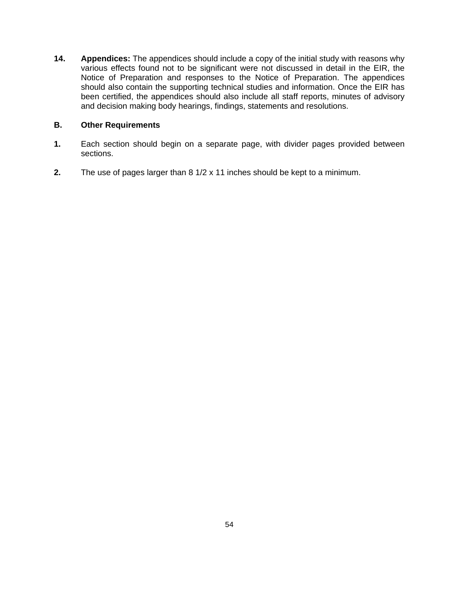**14. Appendices:** The appendices should include a copy of the initial study with reasons why various effects found not to be significant were not discussed in detail in the EIR, the Notice of Preparation and responses to the Notice of Preparation. The appendices should also contain the supporting technical studies and information. Once the EIR has been certified, the appendices should also include all staff reports, minutes of advisory and decision making body hearings, findings, statements and resolutions.

#### **B. Other Requirements**

- **1.** Each section should begin on a separate page, with divider pages provided between sections.
- **2.** The use of pages larger than 8 1/2 x 11 inches should be kept to a minimum.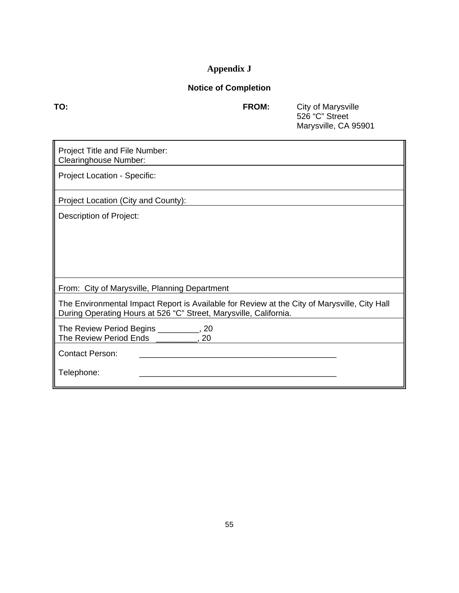## **Appendix J**

## **Notice of Completion**

**TO: FROM:** City of Marysville 526 "C" Street Marysville, CA 95901

| Project Title and File Number:<br><b>Clearinghouse Number:</b>                                                                                                    |
|-------------------------------------------------------------------------------------------------------------------------------------------------------------------|
| <b>Project Location - Specific:</b>                                                                                                                               |
| Project Location (City and County):                                                                                                                               |
| Description of Project:                                                                                                                                           |
|                                                                                                                                                                   |
|                                                                                                                                                                   |
|                                                                                                                                                                   |
|                                                                                                                                                                   |
| From: City of Marysville, Planning Department                                                                                                                     |
| The Environmental Impact Report is Available for Review at the City of Marysville, City Hall<br>During Operating Hours at 526 "C" Street, Marysville, California. |
| The Review Period Begins __________, 20<br>The Review Period Ends __________, 20                                                                                  |
| <b>Contact Person:</b>                                                                                                                                            |
| Telephone:                                                                                                                                                        |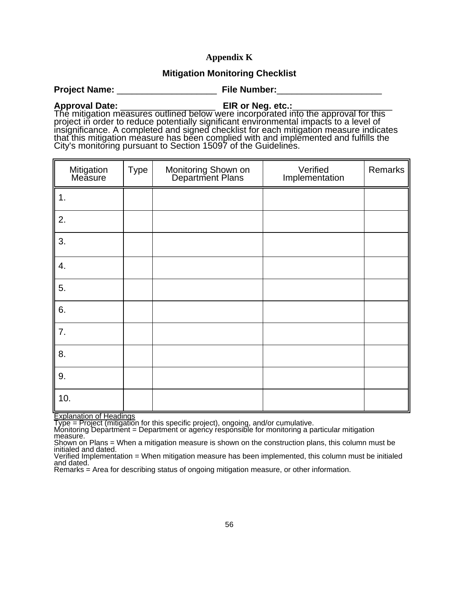#### **Appendix K**

#### **Mitigation Monitoring Checklist**

**Project Name:** \_\_\_\_\_\_\_\_\_\_\_\_\_\_\_\_\_\_\_\_ **File Number:**\_\_\_\_\_\_\_\_\_\_\_\_\_\_\_\_\_\_\_\_\_

**Approval Date:**<br>
The mitigation measures outlined below were incorporated into the approval for this<br>
project in order to reduce potentially significant environmental impacts to a level of<br>
insignificance. A completed and

| Mitigation<br>Measure | <b>Type</b> | Monitoring Shown on<br>Department Plans | Verified<br>Implementation | Remarks |
|-----------------------|-------------|-----------------------------------------|----------------------------|---------|
| 1.                    |             |                                         |                            |         |
| 2.                    |             |                                         |                            |         |
| 3.                    |             |                                         |                            |         |
| 4.                    |             |                                         |                            |         |
| 5.                    |             |                                         |                            |         |
| 6.                    |             |                                         |                            |         |
| 7.                    |             |                                         |                            |         |
| 8.                    |             |                                         |                            |         |
| 9.                    |             |                                         |                            |         |
| 10.                   |             |                                         |                            |         |

Explanation of Headings

Type = Project (mitigation for this specific project), ongoing, and/or cumulative.<br>Monitoring Department = Department or agency responsible for monitoring a particular mitigation measure.

Shown on Plans = When a mitigation measure is shown on the construction plans, this column must be initialed and dated.

Verified Implementation = When mitigation measure has been implemented, this column must be initialed and dated.

Remarks = Area for describing status of ongoing mitigation measure, or other information.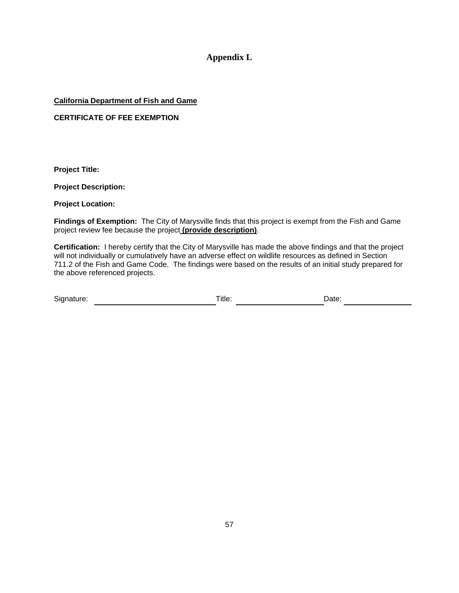#### **Appendix L**

#### **California Department of Fish and Game**

#### **CERTIFICATE OF FEE EXEMPTION**

**Project Title:**

**Project Description:**

**Project Location:**

**Findings of Exemption:** The City of Marysville finds that this project is exempt from the Fish and Game project review fee because the project **(provide description)**.

**Certification:** I hereby certify that the City of Marysville has made the above findings and that the project will not individually or cumulatively have an adverse effect on wildlife resources as defined in Section 711.2 of the Fish and Game Code. The findings were based on the results of an initial study prepared for the above referenced projects.

| Signature:<br>Title:<br>Date: |  |
|-------------------------------|--|
|-------------------------------|--|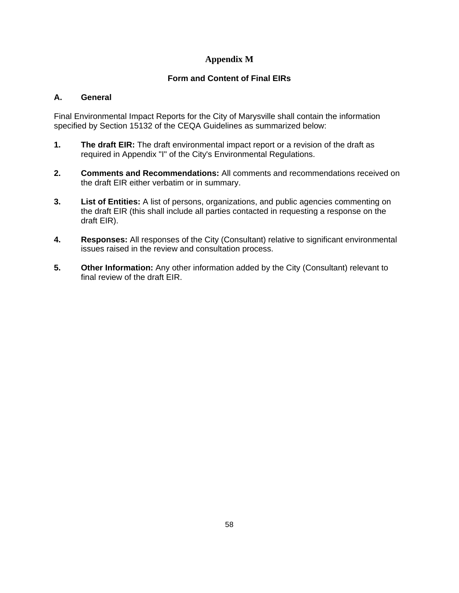#### **Appendix M**

#### **Form and Content of Final EIRs**

#### **A. General**

Final Environmental Impact Reports for the City of Marysville shall contain the information specified by Section 15132 of the CEQA Guidelines as summarized below:

- **1. The draft EIR:** The draft environmental impact report or a revision of the draft as required in Appendix "I" of the City's Environmental Regulations.
- **2. Comments and Recommendations:** All comments and recommendations received on the draft EIR either verbatim or in summary.
- **3. List of Entities:** A list of persons, organizations, and public agencies commenting on the draft EIR (this shall include all parties contacted in requesting a response on the draft EIR).
- **4. Responses:** All responses of the City (Consultant) relative to significant environmental issues raised in the review and consultation process.
- **5.** Other Information: Any other information added by the City (Consultant) relevant to final review of the draft EIR.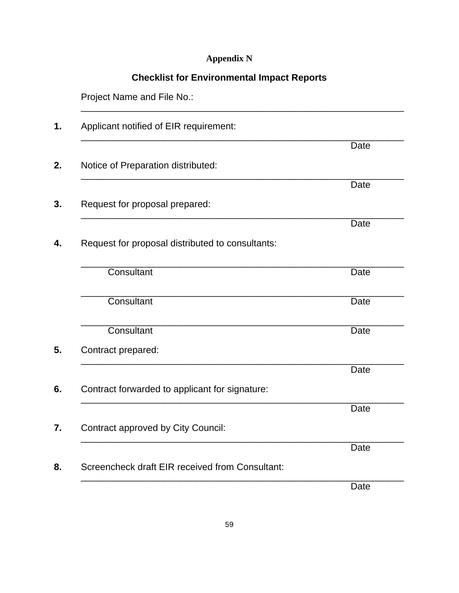#### **Appendix N**

#### **Checklist for Environmental Impact Reports**

 Project Name and File No.: \_\_\_\_\_\_\_\_\_\_\_\_\_\_\_\_\_\_\_\_\_\_\_\_\_\_\_\_\_\_\_\_\_\_\_\_\_\_\_\_\_\_\_\_\_\_\_\_\_\_\_\_\_\_\_\_\_\_\_\_\_\_ **1.** Applicant notified of EIR requirement: \_\_\_\_\_\_\_\_\_\_\_\_\_\_\_\_\_\_\_\_\_\_\_\_\_\_\_\_\_\_\_\_\_\_\_\_\_\_\_\_\_\_\_\_\_\_\_\_\_\_\_\_\_\_\_\_\_\_\_\_\_\_ **Date Date** *Date* **2.** Notice of Preparation distributed: \_\_\_\_\_\_\_\_\_\_\_\_\_\_\_\_\_\_\_\_\_\_\_\_\_\_\_\_\_\_\_\_\_\_\_\_\_\_\_\_\_\_\_\_\_\_\_\_\_\_\_\_\_\_\_\_\_\_\_\_\_\_ **Date Date**  *Date* **3.** Request for proposal prepared: \_\_\_\_\_\_\_\_\_\_\_\_\_\_\_\_\_\_\_\_\_\_\_\_\_\_\_\_\_\_\_\_\_\_\_\_\_\_\_\_\_\_\_\_\_\_\_\_\_\_\_\_\_\_\_\_\_\_\_\_\_\_ **Date Date**  *Date* **4.** Request for proposal distributed to consultants: \_\_\_\_\_\_\_\_\_\_\_\_\_\_\_\_\_\_\_\_\_\_\_\_\_\_\_\_\_\_\_\_\_\_\_\_\_\_\_\_\_\_\_\_\_\_\_\_\_\_\_\_\_\_\_\_\_\_\_\_\_\_ Consultant Date \_\_\_\_\_\_\_\_\_\_\_\_\_\_\_\_\_\_\_\_\_\_\_\_\_\_\_\_\_\_\_\_\_\_\_\_\_\_\_\_\_\_\_\_\_\_\_\_\_\_\_\_\_\_\_\_\_\_\_\_\_\_ Consultant Date **Date** \_\_\_\_\_\_\_\_\_\_\_\_\_\_\_\_\_\_\_\_\_\_\_\_\_\_\_\_\_\_\_\_\_\_\_\_\_\_\_\_\_\_\_\_\_\_\_\_\_\_\_\_\_\_\_\_\_\_\_\_\_\_ **Consultant** Date **Date 5.** Contract prepared: \_\_\_\_\_\_\_\_\_\_\_\_\_\_\_\_\_\_\_\_\_\_\_\_\_\_\_\_\_\_\_\_\_\_\_\_\_\_\_\_\_\_\_\_\_\_\_\_\_\_\_\_\_\_\_\_\_\_\_\_\_\_ Date **6.** Contract forwarded to applicant for signature: \_\_\_\_\_\_\_\_\_\_\_\_\_\_\_\_\_\_\_\_\_\_\_\_\_\_\_\_\_\_\_\_\_\_\_\_\_\_\_\_\_\_\_\_\_\_\_\_\_\_\_\_\_\_\_\_\_\_\_\_\_\_ Date **7.** Contract approved by City Council: \_\_\_\_\_\_\_\_\_\_\_\_\_\_\_\_\_\_\_\_\_\_\_\_\_\_\_\_\_\_\_\_\_\_\_\_\_\_\_\_\_\_\_\_\_\_\_\_\_\_\_\_\_\_\_\_\_\_\_\_\_\_ Date **8.** Screencheck draft EIR received from Consultant: \_\_\_\_\_\_\_\_\_\_\_\_\_\_\_\_\_\_\_\_\_\_\_\_\_\_\_\_\_\_\_\_\_\_\_\_\_\_\_\_\_\_\_\_\_\_\_\_\_\_\_\_\_\_\_\_\_\_\_\_\_\_

Date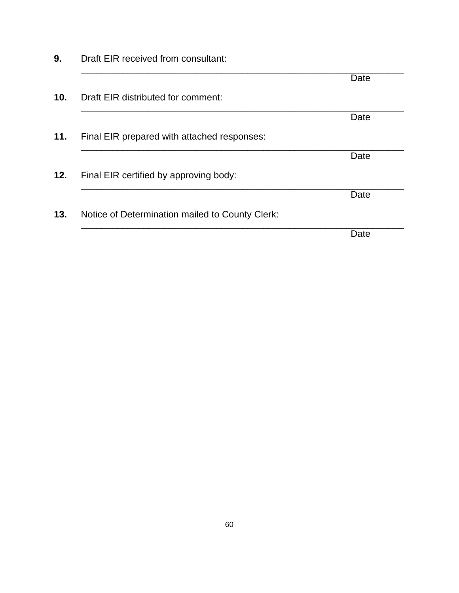|                 |                                                 | Date |
|-----------------|-------------------------------------------------|------|
| 10 <sub>1</sub> | Draft EIR distributed for comment:              |      |
|                 |                                                 | Date |
| 11.             | Final EIR prepared with attached responses:     |      |
|                 |                                                 | Date |
| 12.             | Final EIR certified by approving body:          |      |
|                 |                                                 | Date |
| 13.             | Notice of Determination mailed to County Clerk: |      |
|                 |                                                 | Date |

**9.** Draft EIR received from consultant: